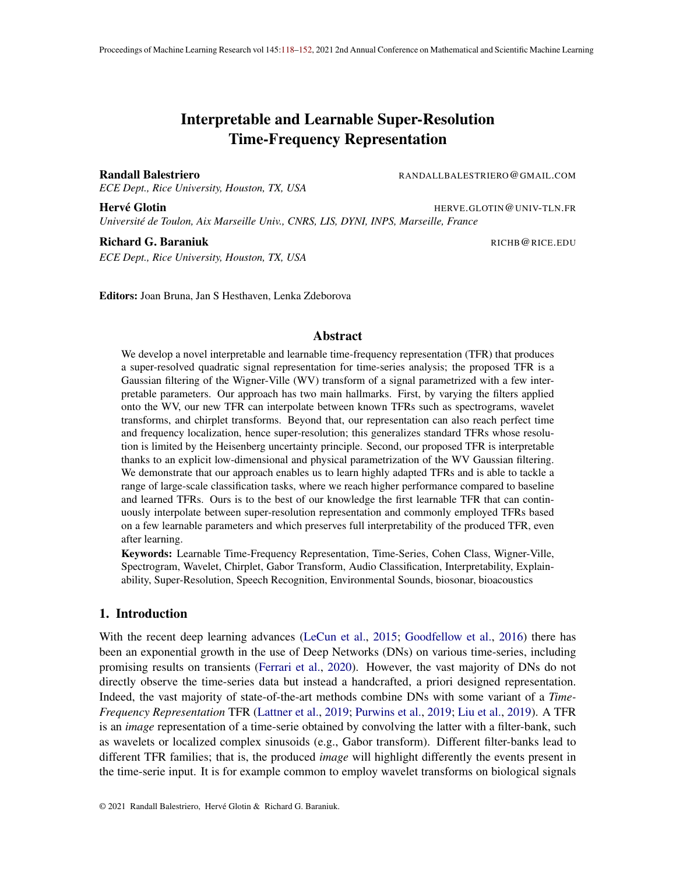# Interpretable and Learnable Super-Resolution Time-Frequency Representation

Randall Balestriero **RANDALLBALESTRIERO@GMAIL.COM** 

*ECE Dept., Rice University, Houston, TX, USA*

**Hervé Glotin Figure 1.1 (1991)** The Herver HERVE.GLOTIN@UNIV-TLN.FR

*Universite de Toulon, Aix Marseille Univ., CNRS, LIS, DYNI, INPS, Marseille, France ´*

#### Richard G. Baraniuk **Richard G. Baraniuk** RICHB **RICHB RICHB RICHB RICHB RICHB RICHB RICHB RICHB RICHB RICHB RICHB RICHB RICHB RICHB RICHB RICHB RICHB RICHB RICHB RICHB RICHB RICHB**

*ECE Dept., Rice University, Houston, TX, USA*

Editors: Joan Bruna, Jan S Hesthaven, Lenka Zdeborova

#### Abstract

We develop a novel interpretable and learnable time-frequency representation (TFR) that produces a super-resolved quadratic signal representation for time-series analysis; the proposed TFR is a Gaussian filtering of the Wigner-Ville (WV) transform of a signal parametrized with a few interpretable parameters. Our approach has two main hallmarks. First, by varying the filters applied onto the WV, our new TFR can interpolate between known TFRs such as spectrograms, wavelet transforms, and chirplet transforms. Beyond that, our representation can also reach perfect time and frequency localization, hence super-resolution; this generalizes standard TFRs whose resolution is limited by the Heisenberg uncertainty principle. Second, our proposed TFR is interpretable thanks to an explicit low-dimensional and physical parametrization of the WV Gaussian filtering. We demonstrate that our approach enables us to learn highly adapted TFRs and is able to tackle a range of large-scale classification tasks, where we reach higher performance compared to baseline and learned TFRs. Ours is to the best of our knowledge the first learnable TFR that can continuously interpolate between super-resolution representation and commonly employed TFRs based on a few learnable parameters and which preserves full interpretability of the produced TFR, even after learning.

Keywords: Learnable Time-Frequency Representation, Time-Series, Cohen Class, Wigner-Ville, Spectrogram, Wavelet, Chirplet, Gabor Transform, Audio Classification, Interpretability, Explainability, Super-Resolution, Speech Recognition, Environmental Sounds, biosonar, bioacoustics

#### 1. Introduction

With the recent deep learning advances (LeCun et al., 2015; Goodfellow et al., 2016) there has been an exponential growth in the use of Deep Networks (DNs) on various time-series, including promising results on transients (Ferrari et al., 2020). However, the vast majority of DNs do not directly observe the time-series data but instead a handcrafted, a priori designed representation. Indeed, the vast majority of state-of-the-art methods combine DNs with some variant of a *Time-Frequency Representation* TFR (Lattner et al., 2019; Purwins et al., 2019; Liu et al., 2019). A TFR is an *image* representation of a time-serie obtained by convolving the latter with a filter-bank, such as wavelets or localized complex sinusoids (e.g., Gabor transform). Different filter-banks lead to different TFR families; that is, the produced *image* will highlight differently the events present in the time-serie input. It is for example common to employ wavelet transforms on biological signals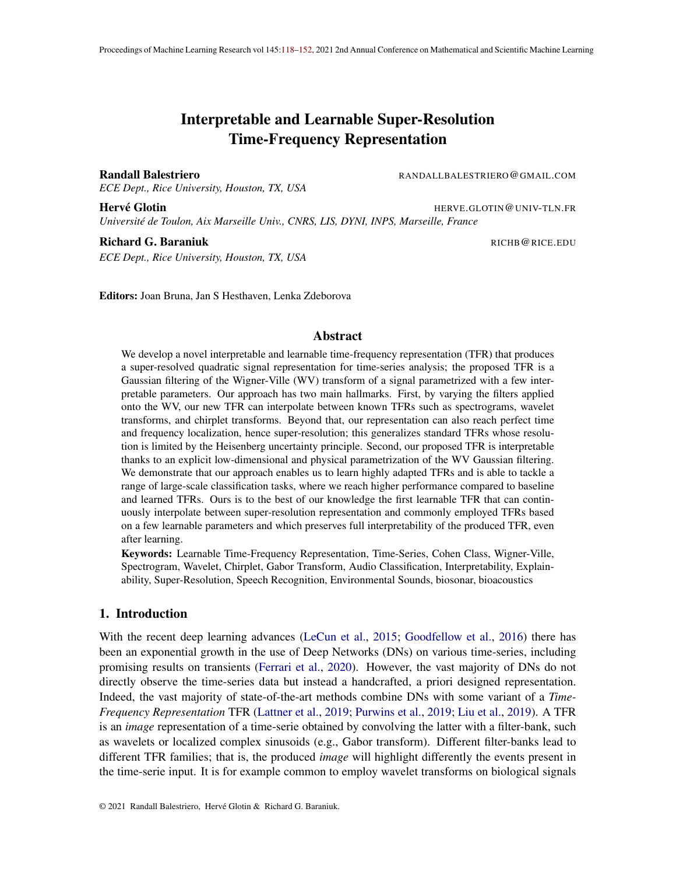and spectrogram on electrical or machine signals. In short, the different representations all inform about which frequency components are present at different times in the signal, but the precision of that information will vary.

The TFR-DN combination is powerful due to three major reasons: (i) the TFR contracts small transformations of the time-serie internal events such as translation, time and/or frequency warping (Bruna and Mallat, 2013) leading to more stable learning and faster DN convergence; (ii) the image representation allows to treat TFRs as a computer vision task where current DNs excels; (iii) the representation of the features of interests, such as phonemes for speech (Waibel et al., 1989), form very distinctive shapes in the TFR image, with dimensionality much smaller than the event's timeserie representation. In fact, a single coef cient of the TFR can encode information of possibly thousands of contiguous bins in the time-serie representation (Coifman et al., 1994; Le Pennec and Mallat, 2000; Logan et al., 2000). A coherent choice of TFR based on the data and task at hand will greatly affect the importance of each of the above points; hence, the choice of TFR has the potential to dim, or amplify, the above bene ts further pushing the need to provide a TFR that can adapt to the data and task at hand.

Choosing the "best" TFR is a long lasting research problem in signal processing (Coifman and Wickerhauser, 1992; Jones and Baraniuk, 1994; Donoho, 1994). While TFR selection and adaptation was originally driven by signal reconstruction and compression (Xiong et al., 1998; Do and Vetterli, 2000; Cosentino et al., 2016), the recent developments of large supervised time-series datasets have led to novel learnable solutions that roughly fall into four camps. First, methods relying on the Wavelet Transform (WT) (Meyer, 1992). A WT is TFR with a constant-Q lter-bank based on dilations of a mother wavelet. In Balestriero et al. (2018) the learnability of the mother wavelet is introduced by means of a cubic spline parametrization of the mother wavelet to learn the mother wavelet shape. Second, methods relying on band-pass lters without center-frequency to bandwidth (Q) constraint such as the Short-Time Fourier Transform (STFT) (Allen, 1977). Khan and Yener (2018) propose to independently learn the center frequencies and bandwidths of a collection of Morlet wavelets (learning of those coef cients independently breaks the constant-Q property). Ravanelli and Bengio (2018) relies on learning the start and cutoff frequency of a bandpass sinc Iter apodized with an hamming window. Those two methods similarly learn the location of the bandpass but use a different apodization window of a complex sine (Gaussian or hamming). In Cosentino and Aazhang (2020), it is proposed to learn a lter-bank through nonlinear transformations of a xed Iter, due to this, recovery of WT and chirp like lters was possible as special cases. Third, Zeghidour et al. (2018) proposes to learn Mel Iters that are applied onto a spectrogram (modulus of STFT). Those Iters linearly combine adjacent Iters in the frequency axis which can be interpreted as learning a linear frequency subsampling of the spectrogram; learning the apodization window used to produce the spectrogram has also been developed in Jaillet and Starr (2007); Pei and Huang (2012). Finally, there are also methods relying on unconstrained DN layers applied on the time-series but with designed parameter initialization such that the induced representation (layer output) resembles (before training has started) an a priori determined target TFR. This has been done for chirplet transforms (Baraniuk and Jones, 1996; Glotin et al., 2017; Balestriero and Glotin, 2019) and for Mel-Spectrograms (Çakir and Virtanen, 2018).

All the above methods for learning the "best TFR" suffer from at least one of the three following limitations: (i) the inability to interpolate between different TFR families due to family speci c parametrization of the learnable lter-banks; (ii) the inability to maintain interpretability of the Iter-bank/TFR after learning; (iii) the inability to reach super-resolution in time and fre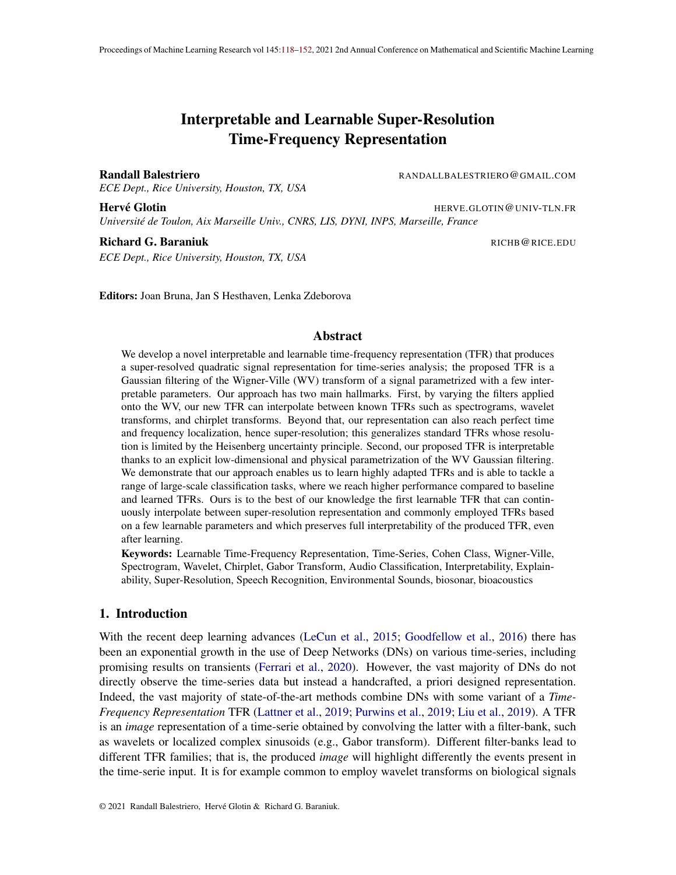quency to allow more precise representation. There is thus a necovide a universal learnable formulation able to interpolate between and within TFRs while preserving interpretability of the learned representation and with the ability to reach super-resolutidime crucial component that allows us to produce such a learnable TFR is that as opposed to current solutions, we do not learn a Itering of the waveform signal, but a Itering of the Wigner-Ville transform (Wigner, 1932; Flandrin, 1998), which is a bilinear representation of the signal and from which common TFRs can be obtained through Gaussian Itering of that representation. Through an explicit parametrization of those Gaussians we allow adaptivity of those Iters while maintaining interpretability of the Iters and the resulting TFR.

We validate our method on multiple large scale datasets of speech, bird and marine bioacoustic and general sound event detection, and demonstrate that the proposed representation outperforms current learnable TFR techniques as well as xed baseline TFRs regardless of the DN employed on top of those representations.

We summarize our contributions as follows:

[C1] We develop a Wigner-Ville Distribution based TFR with explicit interpretable parametrization able to reach super-resolution (Sec. 3.1), able to maintain interpretability of the Iters and the representation at any point in the learning phase (Sec. 3.2), able to continuously interpolate between state-of-the-art TFRs (Sec. 3.3) and able to adapt its sensitivity to input transformations (Sec. 3.4).

[C2] We provide an ef cient implementation allowing us to compute the proposed representation solely by means of Short-Time Fourier Transforms (Sec. 4.2). This allows GPU friendly computation and applicability of the method to large scale time-series dataset. We study the method complexity and provide details on our implementation (Sec. 4.1).

[C3] We validate our model and demonstrate how the proposed method outperforms other learnable TFRs as well as xed expert based transforms on various datasets and across multiple DN architectures. We interpret the learned representations hinting at the key features of the signals needed to solve the task at hand (Sec. 4.3).

#### 2. Background on Time-Frequency Representations

In this section we brie y recall the standard time-frequency representations that are commonly employed when dealing with time-series data.

Fourier and Spectrogram. Motivated by the understanding of physical phenomena, mathematical analysis tools have been created, notably the Fourier transform (Bracewell and Bracewell, 1986). Any signak in  $\mathsf{L}^2(\mathsf{R})$  can be expressed in any basis  $\mathcal{A}(\mathsf{R})$  (Mallat, 2008), the Fourier transform of a signal expresses in the orthogonal basis formed by complex exponentials as  $F_x$ (!) =  $\frac{1}{1}$  $\frac{1}{1}$  x(t)e  $\frac{it}{t}$  dt; providing a powerful representation for stationary signals. For non stationary signal analysis, where the observed signal carries different information dynamics throughout its duration, co-existence of the time and frequency variables in the representation is needed. One solution is offered by the Short Time Fourier Transform (STFT) (Allen, 1977) de ned as follows

$$
STFT_{x,g}(t;f) = \begin{cases} Z_{1} \\ 0 \\ 1 \end{cases} g(t) \quad \text{(a) } e^{it} \quad d \text{;} \tag{1}
$$

with g an apodization window which vanishes when moving away formathis representation thus only assumes stationarity within the effective support othich we denote by  $_t$ . The squared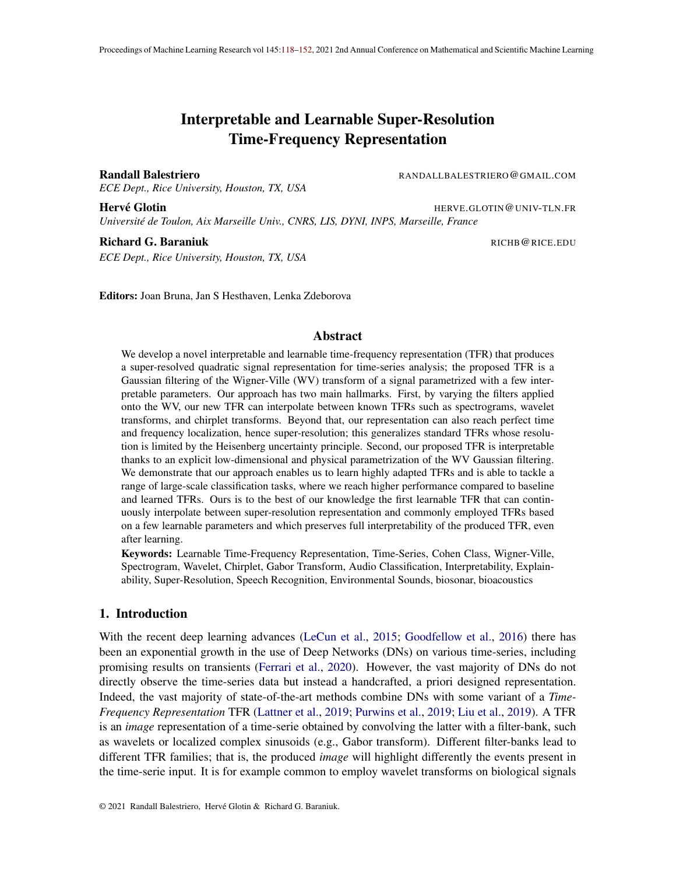modulus of the STFT is called the spectrogram as  $\mathfrak{F}(\mathbb{R}^n) = \mathfrak{j}$ STFT<sub>x;g</sub>(t; f)  $j^2$ : The simplicity and ef ciency of its implementation makes the spectrogram one of the most widely used TFR for non-stationary signals. Nonetheless, the spectrogram has a fundamental antagonism between its temporal and frequency resolution which depends on the apodization window spreada spectrogram, larget allows high frequency resolution and poor time resolution and conversely for small <sub>t</sub>. Most applications employ a Gabor (or truncated/approximated) apodization window, in which caseg(u) =  $p\frac{1}{2}e^{-p\frac{1}{2}(2-\frac{2}{t})}$ . Such spectrograms are denoted as Gabor transforms (Gabor, 1946). We will denote such a Gaussian windowgby.

Wavelet Transform. A wavelet lter-bank is obtained by dilating a mother lter<sub>0</sub> 2 L<sup>2</sup>(R) with variousscaless; the relationship between scale and center frequencty the dilated Iter is given bys =  $2^{S(1-\frac{f}{l})}$  with S the largest scale to be analyzed. Application of those dilated lters onto a signal leads to the wavelet transform WT (Mallat, 2008)

$$
WT_x(t; s) = (x ? s)(t); where s(t) = p \frac{1}{\overline{s}} o \frac{t}{s};
$$

with  $s > 0$ . The relative position of the mother wavelet center frequency is not relevant as the scales can be adapted as desired, let consider here that placed at the highest frequency to be analyzed. Note that the above is often referred as the nuous wavelet transform due to the use of analytical mother lter  $_0$ . On the other hand there also existdiscretewavelet transform (Haar, 1909; Daubechies, 1992) in which the discrete mother wavelet is often obtained by solving a system of equations (Jensen and la Cour-Harbo, 2001) which we do not consider in this study. To provide a representation invariant to the phase of the signal's internal events, it is common to apply a complex modulus after the convolution, or a squared complex modulus (Lostanlen et al., 2020), we thus consider in our study  $M(\vec{t}; s) = jx$  ?  $s^2(t)$ . As opposed to the spectrogram, the resolution of the WT varies with frequencies as the Iters have a constant bandwidth to center frequency ratio. In a WT, high frequency atoms with s close to1 are localized in time offering a good time resolution but low frequency resolution. Conversely, for low frequency atoms with s 1, the time resolution is low but the frequency resolution is high. As natural signals tend to be of small time duration when they are at high frequencies and of longer duration at low frequencies (Daubechies, 1990), the scalogram is one of the most adapted TFR for natural biological signals (Meyer, 1992).

Wigner-Ville Transform. The Wigner-Ville (WV) transform (or quasi probability or distribution) (Wigner, 1932) was originally derived for quantum mechanics (Moyal, 1949) and was only proposed as a TFR representation in Ville (1948). As opposed to the above TFRs which linearly transformx through a given basis or lter-bank, the WV transform is bilineax in The transform combines complex sine Iters as the Fourier transform and auto-correlations of the signal as follows  $\overline{z}$ 

$$
WV_x(t; f) = \int_{1}^{2} x t \frac{1}{2} x t + \frac{1}{2} e^{it} d:
$$
 (2)

Due to the auto-correlation term, computing the WV is demanding but provides a representation with perfect time and frequency localization as opposed to the spectrogram, wavelet transform, or any representation obtained through a linear Itering of the signal. This increased localization comes at the cost of introducing artifacts, or interference, in the representation (Daubechies and Planchon, 2002) and led to many variants of the WT with goal to reduce those artifacts e.g. the Pseudo Wigner Ville (Flandrin and Escudi, 1984) or the Smoothed Pseudo Wigner-Ville (Hlawatsch et al., 1995).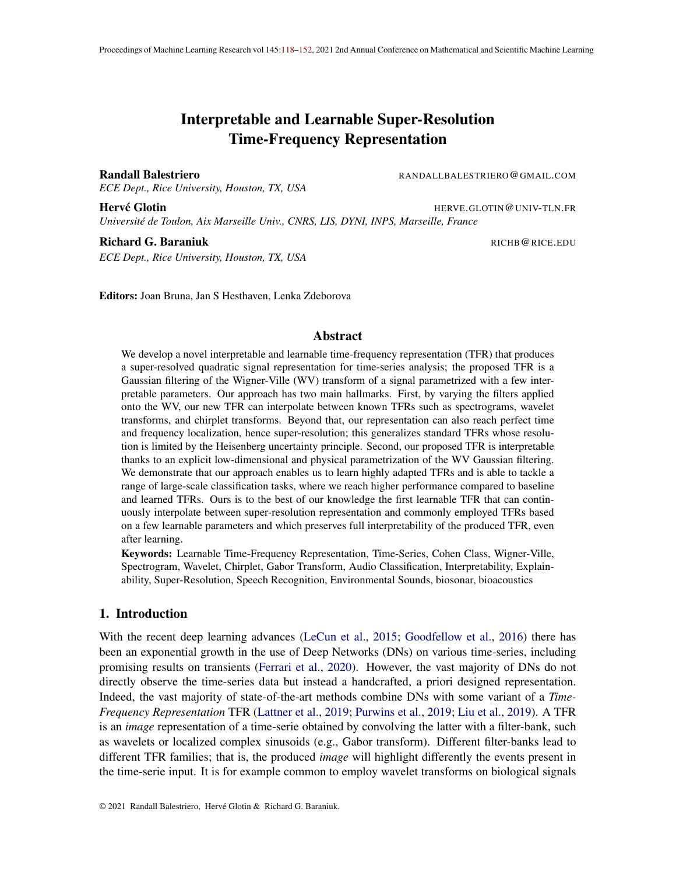Filtering the Wigner-Ville Transform: (Af ne) Cohen Class. One of the greatest property of the WV transform beyond perfect time-frequency localization lies in the ability to recover any TFR obtained from a linear Itering of a signal with a Iter-bank by instead performing a linear Itering of the WV representation with a low-pass Iter we denote a  $2 L^2(R^2)$  as in(WV<sub>x</sub>?) with ? the 2-dimensional convolution. Collecting all possible low-pass Itered WV representation produces the Cohen class (Cohen, 1989) which we denote sim**6ly as**d de ned as

$$
C_x = f W V_x ? j 2 L2(R2); low-passg; \qquad (3)
$$

and where we have as special cases  $S^P$  C<sub>x</sub> for any Gaussiang. We thus see that any Gabor transform lives in this class, as well as many other known TFRs as we will discuss in the following section. An important extension of the Cohen class is given by the af ne Cohen class (Flandrin and Rioul, 1990; Flandrin, 1993; Daubechies and Planchon, 2002) where not a single itter employed with  $\mathcal Z$ -dimensional convolution but instead a time only convolution is employed with a collection of ltersf  $_f$ ; f 2 R g with the constraint that  $_f$  (;!) =  $_0$ (f;f!) given a "mother" low-pass lter  $\,$ <sub>0</sub>. One should notice the close resemblance to the WT, in fact, WTs belong to the af-ne Cohen class.

This paper extends the Cohen class and the af ne Cohen class by removing the af ne transformation constraint relating the kernels, and by imposing a parametrization of those Iters to allow learning, computational ef ciency and interpretability of the Iters and produced representation. Removing the af ne constraint is key in allowing the WV transform Itering to reach a larger set TFRs e.g. chirplet transforms which are fundamental for many applications (Gribonval, 2001; Yin et al., 2002).

# 3. Learnable, Universal and Stable Wigner-Ville Based Signal Representation

In this section we develop our proposed signal representation which builds upon the Wigner-Ville Distribution. We rst de ne our representation and study some key properties to nally propose a physics based parametrization that will allow for interpretability and robust learning. Throughout our development, we consider continuous time and frequency and will consider the nite sample, descrete case in the next section.

# 3.1. Wigner-Ville Based Signal Representation

We now de ne our transformation, coined tke-transform which corresponds to applying 2a dimensional truncated Gaussian kernel 2  $\mathsf{L}^2(\mathsf{R} \quad [0; 2])$  onto the Wigner-Ville transform WV<sub>x</sub> 2 L<sup>2</sup>(R [0; 2)) of the signalx 2 L<sup>2</sup>(R) (recall (2)), each kernel employs independent parameters for different frequencies  $[0; 2]$ .

De nition 1 (K-transform) nition 1 (K-transform) TheK-transform of a signak with kernel is de ned as

$$
K_{x}(t; f) = \sum_{\begin{array}{c} R \ [0;2 \end{array}} W V_{x}(\ ; ! \ ) f(t \ ; ! \ ) d d!, \tag{4}
$$

where the 2-dimensional Gaussian density function is parametrized by

$$
f(t; 1) = N \qquad 1 \qquad ; \qquad \begin{array}{c} 0 \\ f(f) \end{array} ; \qquad \begin{array}{c} f(f)^2 \\ f(f) \end{array} \qquad \begin{array}{c} 1 \\ 1 \end{array} \qquad \begin{array}{c} 1 \\ 2 \end{array} \qquad \begin{array}{c} 1 \\ 1 \end{array} \qquad \begin{array}{c} 0 \\ 1 \end{array} \qquad \begin{array}{c} 1 \\ 0 \end{array} \qquad \begin{array}{c} 0 \end{array} \qquad \begin{array}{c} 1 \\ 0 \end{array} \qquad \begin{array}{c} 1 \\ 0 \end{array} \qquad \begin{array}{c} 1 \\ 0 \end{array} \qquad \begin{array}{c} 1 \\ 0 \end{array} \qquad \begin{array}{c} 1 \\ 0 \end{array} \qquad \begin{array}{c} 1 \\ 0 \end{array} \qquad \begin{array}{c} 1 \\ 0 \end{array} \qquad \begin{array}{c} 1 \\ 0 \end{array} \qquad \begin{array}{c} 1 \\ 0 \end{array} \qquad \begin{array}{c} 1 \\ 0 \end{array} \qquad \begin{array}{c} 1 \\ 0 \end{array} \qquad \begin{array}{c} 1 \\ 0 \end{array} \qquad \begin{array}{c} 1 \\ 0 \end{array} \qquad \begin{array}{c} 1 \\ 0 \end{array} \qquad \begin{array}{c} 1 \\ 0 \end{array} \qquad \begin{array}{c} 1 \\ 0 \end{array} \qquad \begin{array}{c} 1 \\ 0 \end{array} \qquad \begin{array}{c} 1 \\ 0 \end{array} \qquad \begin{array}{c} 1 \\ 0 \end{array} \qquad \begin{array}{c} 1 \\ 0 \end{array} \qquad \begin{array}{c} 1 \\ 0 \end{array} \qquad \begin{array}{c} 1 \\ 0 \end{array} \qquad \begin{array}{c} 1 \\ 0 \end{array} \qquad \begin{array}{c} 1 \\ 0 \end{array} \qquad \begin{array}{c} 1 \\ 0 \end{array} \qquad \begin{array}{c} 1 \\ 0 \end{array} \qquad \begin{array}{c} 1 \\ 0 \end{array} \qquad \begin{array}{c} 1 \\ 0 \end{array} \qquad \begin{array}{c} 1 \\ 0 \end{array}
$$

whereN is the Gaussian multivariate density function.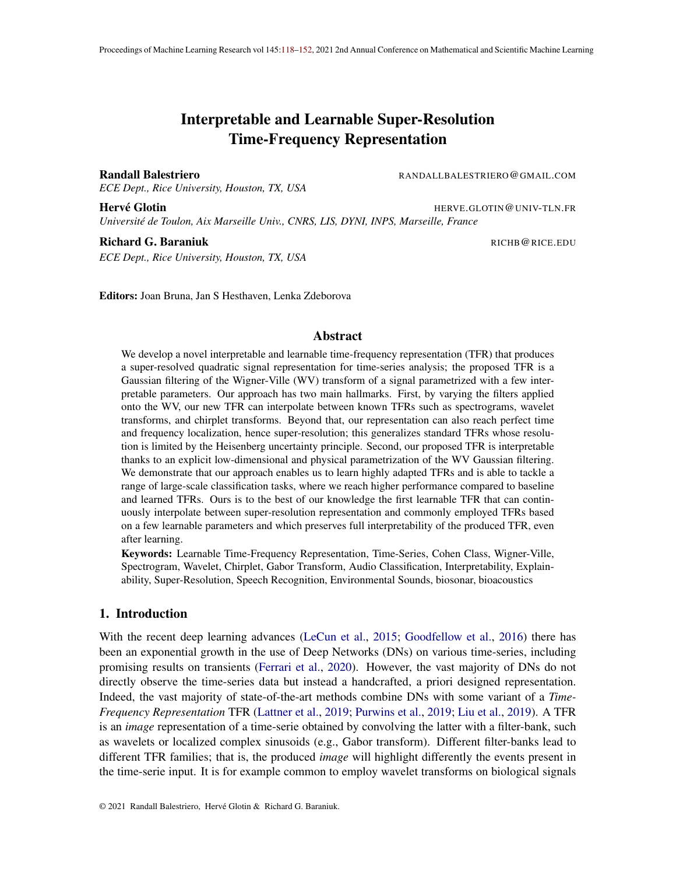First, one should notice that the above extends the de nition of the Cohen's class (recall (3)) and the af ne Cohen class. The K-transform falls back to the Cohen class iff the kernelse identical for any frequency position (in that case  $\&$  can be obtained with a sing bedimensional convolution between WV and the single Gaussian kernel). The K-transform falls back to the af ne Cohen class iff the mean and covariance parameters are tied together<sub>t</sub>  $(f\sin\theta)$  for  $f(f)$  and  $_f$ (f)<sup>2</sup> /  $_f$ (f). That is, the lters have bandwidths varying with their mean and center-frequencies (in the WV domain). One important family of TFRs known as variable Q-transform (Huang et al.,

2015) can be reached by the K-transform but not by the af ne Cohen class as opposed to constant Q-transforms TFRs (Brown, 1991) that can be reached by the K-transform and the af ne Cohen class.

Second, the K-transform is real valued as both the Wigner-Ville representation, Valled the Gaussian kernel are real valued. We now discuss the advantages of such a parametrization. Each -lter has 4 degrees of freedom that fully characterize the type of events being captured and allow for interpretability, we discuss this further below. As the parameters of different lters  ${}_{\mathsf{f}}$   ${}_{\mathsf{o}};$  f  $\,$   $\mathsf{G}$  f  ${}^{0}$ are independent, the number of degrees of freedom of the transform depends (linearly) on the desired number of lters (a nite number in practice). For common machine learning tasks and datasets we rarely see the number of lters exce&a8which leads to512 degrees of freedom. In this paper we will learn those parameters with some avors of gradient descent as the transform is differentiable w.r.t. the Gaussian parameters. This will allow to adapt the Iters and thus the transform to the data and task at hand. All the implementation details as well as a fast computation method will be provided in the next section.

Lastly, a key property of most TFRs reside in their time-frequency resolution, that is, how precise will be the representation into reecting the frequency content at each time step present in the studied signal. Standard TFRs (and their learnable versions) have limited resolutions constrained by the uncertainty principle. In short, TFRs such as scalograms or STFTs all employ time-frequency -lters that have their effective support's area lower bounded (when viewed in the WV domain). And while changing the hyper-parameters of those TFRs alter the supports' shape of those Iters, the area constraint prevents them from being highly localized in both time and frequency. We present an illustration of this in Fig. 4. The WV has perfect time and frequency localization, and thus the K-transform can reach super-resolution by adapting the covariance matrices of the Iters. In the limit when the Gaussian Iters become Dirac function $\oint \phi = 0$ ;  $\phi(f) = f(f) = 0$ , the K-transform falls back to the WV transform. We will study the sensitivity of the learned representation as a function of the Gaussian covariance matrices in the next section (Prop. 2), where we show that reaching super-resolution will make the representation highly sensitive to input noise and deformations; the ability to learn and adapt to the task and data at hand is thus crucial to ensure that super-resolution is reached only if bene cial to increase performances.

#### 3.2. Interpretability

The Gaussian parametrization of the kernetecall (5)) plays many crucial roles; the rst being the ease of interpretability of the lters and of the produced representation. The frequency mean represents the frequency center of the events captured by this lter. Studying the mappihalso inform on the concentration of those center-frequencies and if for example they follow a logarithmic growth as in the WT or a linear growth as in the STFT. The diagonal of the covariance matrix  $(+ (f)^2; f(f)^2)$  encodes the frequency and time bandwidths of the Iter. That is, how precise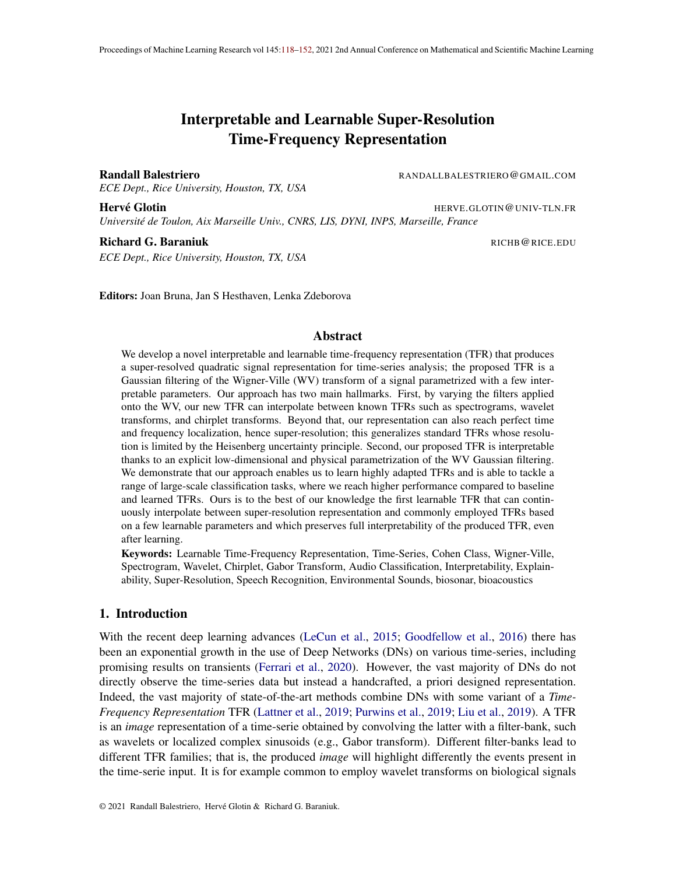frequency

Figure 1: Visualization of four different Gaussian Iters in the timefrequency plane (the Wigner-Ville domain) each depicted with a different color. Interpretability of the Iters (as detailed in Sec. 3.2) can be done directly by looking at the mean (position) of the Gaussian and the covariance matrix. In this case, the back/top lter is highly localized in time and frequency near the Nyquist frequency (notice the much higher localization than allowed in a WT or STFT; therange/anisotropic Iter is encoding chirp events (linear change in time of the instantaneous frequency), this is typical of bats or birds'calls; thgreen/ at lter is highly localized in frequency and encodes long duration event, this can be seen with insects emitting relatively high frequency sounds for a long duration; the bottom Iter on the contrary is localized in time and encodes large band frequency events, this is typical of transient events such as clicks of dolphins.

time

in time and in frequency is the lter. For example when capturing a stationary signal with long time duration an appropriate $(f)$  to best capture the event would be greater than when capturing a transient (short duration, burst like) event. Hence, studying the learned parameters (and Iters) allow to study the physical properties of the encoded events which is crucial for example in bioacoustics (Dawson, 1991) or geophysics (Seydoux et al., 2020). The off-diagonal of the covariance, encodes the (linear) chirpness of the lter; that is, how the instantaneous frequency of the Iter changes with time. This chirpness parameter plays a crucial when capturing events as generated by bats, birds (Barclay, 1999; Capus and Brown, 2003) or radar and imaging devices (Baraniuk and Steeghs, 2007; Luo et al., 2009). Beyond this direct interpretability of the types of event being encoded by each lter, this parametrization is also general enough to reach most of the current TFRs as we now demonstrate.

# 3.3. Universality

A second key bene t of the proposed Gaussian parametrization resides in its ability to reach most of the employed TFRs. In fact, it has been shown through various studies how TFRs such as the chirplet transform, the WT with Morlet wavelet or the Gabor transform (Nuttall, 1988; Flandrin and Rioul, 1990; Jeong and Williams, 1990; Baraniuk and Jones, 1996; Talakoub et al., 2010; Gillespie and Atlas, 2001) all belong to the (af ne) Cohen class where the convolution kerne<sup>n</sup>s dimensional Gaussian where only the mean and covariance parameters are to be changed. We formalize this result below.

Proposition 1 (Universality) Any Gabor transform, Gabor wavelet transform, Gabor chirplet transform are reachable by the K-transform. (Proof in App. C.2.)

The above result is crucial as it demonstrates how the proposed formulation covers most of the current state-of-the-art deterministic TFRs. In addition, most learnable frameworks simply adapt the parameters of some xed TFRs, as such, those learned representations are also reachable by the K-transform. We depict in Fig. 2 some speci c cases of means and covariances that can be imposed on the parameters of the Gaussiansto make the K-transform fall back to known TFRs; we also give the analytically parameters for each case in Table 3 in the Appendix.

We should highlight that not all representations can be reached by the K-transform. For example, a sinc based Iter-bank can not be reached as it would require not a Gaussian Iter applied onto WV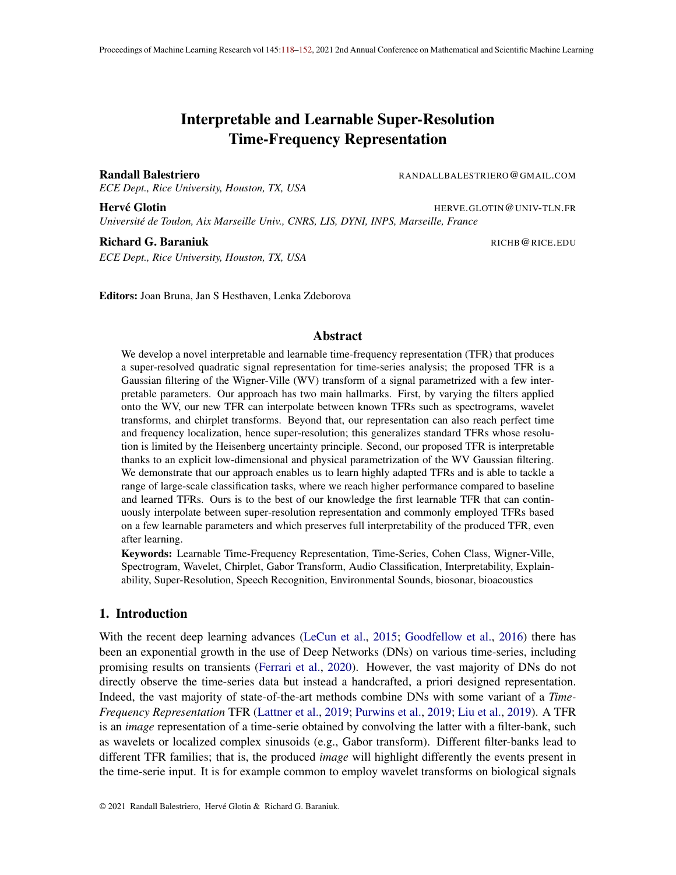Figure 2: Depiction of various Iter-banks in the frequency domain, time domain and time-frequency plane (Wigner-Ville domain) for a STFTt(pp) with small Gaussian apodization window (left) and large Gaussian apodization window (right); for a wavelet transformiddle) with Morlet wavelets, and for a chirplet transform (ottom). First, all those TFRs can be obtained through a Gaussian Itering of the Wigner-Ville representation each with a speci c set of means and covariances for the Gaussians. By changing those parameters it is possible to move continuously from one TFR to another (Theorem 1). Second, the larger is the Gaussian (covariance) in one direction or the other (time or frequency) the more stable will be the produced TFR (Prop. 2), with an highly localized Gaussian (small covariance entries) super-resolution is achieved providing the produced TFR increased time and/or frequency precision of the events present in the input signal. Third, learnability of the Gaussian parameters allow to let the data, classi cation/regression pipeline and the loss function at hand drive the design of the TFR to maximize performances.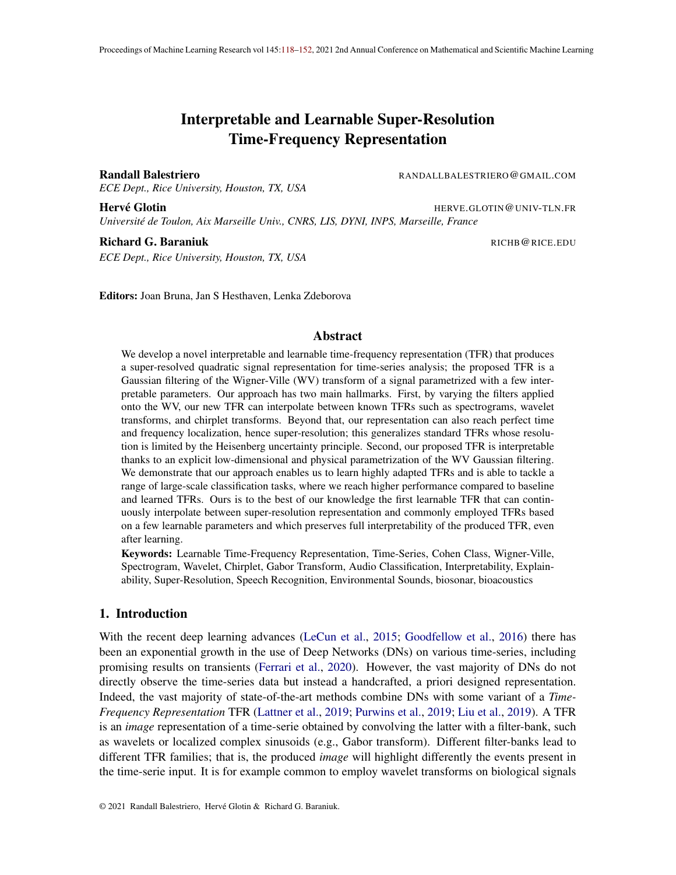but a rectangular window. Also, any TFR employing a time-varying basis can not be recovered by the K-transform. This type of "signal adapted" basis (Ramchandran and Vetterli, 1993; Abramovich et al., 1998) is not common in regression and classi cation tasks as those tasks heavily rely on translation invariance of the representation. A simple rule determining if a TFR can be reached by the K-transform is formalized below as a direct application of Moyal theorem (see Theorem 8 in Bahri and Ashino (2015)).

Remark 1 Any signal representation Rthat can be expressed  $\mathbf{a}(\cdot; f) = jx$  ?  $f^{2}$  where  $_1$ ;  $_2$ ; ::: are possibly independent Iters from each other can be reached by the K-transform if the W V transform of the signal $W\vee_{+}$ ; 8f  $% \mathbb{R}^{+}$  are 2-dimensional Gaussian.

## 3.4. Continuity and Stability

In this section we highlight some fundamental properties of the K-transform concerning its stability to changes in the Gaussian parameters of the lters, and changes in the inputsignparticular our rst result demonstrate how the proposed formulation allows to continuously move from one TFR to another (recall Prop. 1) when changing the Gaussian parameters.

Continuity. For convenience, we encapsulate all the Gaussian parameters as a single operator  $:[0; 2)$  7! R  $R^+$   $R^+$  R de ned as

(f), 
$$
f(f)
$$
;  $f(f)^2$ ;  $f(f)^2$ ; (f)  $f$ ; (6)

where to simplify notation we assume  $)$  2 R, we discuss the valid support that ensures invertibility of the covariance matrix in the next section; we also explicit the K-transform astix make the dependency on explicit. We can now derive the Lipschitz continuity result of the proposed representation in term of its parameters.

Lemma 2 (Lipschitz continuity) Given two parameter mapping $\mathsf{Sand}\;^0$ in L $^2$ (R) as de ned by (6), the distance between the two induced representations is upper bounded by the distance between those mappings as in

$$
kK_{x;} K_{x; 0}k_{L^{2}(R^{2})}^{2} kxk_{L^{2}(R)}^{2} k (f) {q^{2}+k_{Z}^{2}d^{-\frac{1}{2}}};
$$

with the Lipschitz constant of a standard 2D Gaussian  $(2422)$ . (Proof in App. C.1.)

From the above result we see how one can compare different K-transforms simply by comparing their associated parameters, as close parameters imply close representations of the same inputs. As such, if the learned parameters are say close to the ones of a WT, then one can con-dently assume the learned representation to be a WT. Lipschitz continuity also naturally provides the following.

Theorem 1 (TFR Interpolation) The representation  $K$  moves continuously withallowing to continuously interpolate between any reachable TFR. (Proof in App. C.3.)

The above result demonstrates that the transform is Lipschitz continuous with respect to its parameters , hence, moving from any representation to another is done in a continuous fashion when continuously moving the parameters. This property is also important in our context of learning fact, when performing updates of those parameters in a gradient based fashion (small increments)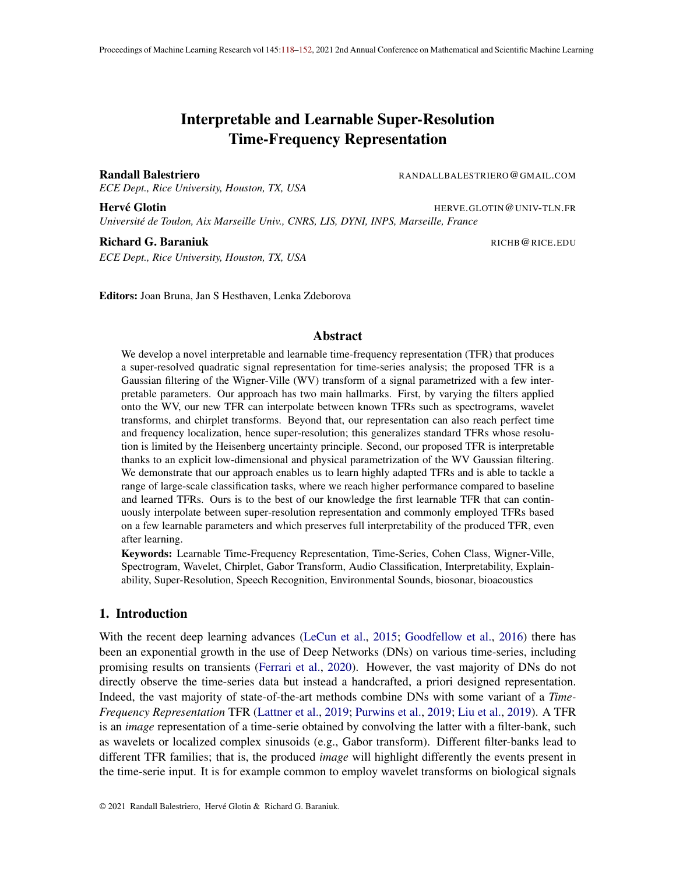we are guaranteed to not produce abrupt changes in the representations. This is highly bene-cial to have stability during training. We conclude with an important result derived when the af ne Cohen class was generalized to produce wavelet transforms in Flandrin and Rioul (1990) (Prop. 4) stating that the Gaussian parametrization we employ is not only suf-cient but also necessary.

Remark 3 A continuous passage from a spectrogram to a scalogram by Itering the Mo/Nossible iff the Itering is done with Gaussians Iters.

The above result should demonstrate along with Sec. 3.2 and 3.3 that the Gaussian parametrization is not only providing interpretability and universality but is also the only parametrization allowing a continuous interpolation between TFRs.

Stability. We now study how does the representation change when the inputer turbed (as opposed to the previous paragraph that focused on perturbations of the parameters rst direct result concerns the equivariance of the representation with translation of the input in time. That is, translating the input in time translates the representation. This results comes from the fact that the WV is itself translation equivariant, and since we apply a time convolution on this representation, itself being translation equivariant, we have that the K-transform maintains this property. Maintaining this property is important especially for tasks without a priori knowledge in order to maintain enough information about the input signal (Kondor and Trivedi, 2018; Cohen and Welling, 2016; Cohen et al., 2018).

On the other hand, we also want to ensure that small changes in the input do not yield high changes in the representation. This stability to input deformation is also crucial to provide easier stochastic optimization and improved generalization (Mallat, 2016). This type of stability is often achieved from handcrafted designs such as a time averaging (Bruna and Mallat, 2013). We now demonstrate that in the K-transform, the sensitivity to input transformations is directly controlled by the covariance of the Gaussian lters, and that during training, the Iters will adapt to produce stable representations only if needed based on the data and task speci c perturbations. Denote a transformationu applied on the signal and formally characterize the induced perturbation amount in the K-transform by  $kK_{x}$ ;  $_{\rm ^{2} (R ^{2})},$  let also denot**e**let(  $_{\rm f}$  ) ,  $_{\rm t}$  (f )<sup>2</sup>  $_{\rm f}$ (f )<sup>2</sup>  $(f)$ <sup>2</sup>.

Proposition 2 (Stability to deformation) A transformation of the signal  $(x)$  implies a change in the representation proportional to the inverse of the covariance determinant as

$$
kK_{x}
$$
;  $K_{D(x)}$ ;  $k_{L^2(R^2)}$   $\frac{kx D(x)k_{L^2(R)}}{min_f det(\frac{1}{f})}$ ;

with the Lipschitz constant of the WV which exists and is nite for bounded domain. (Proof in App. C.6.)

Based on the data and task at hand, the K-transform can adapt its parameters and in particular its covariance matrix to reach super-resolution or to reach stability to input deformations. The extreme cases range from Dirac-like Iters producing a highly sensitive TFR to constant Iters (in nite limit variance) producing a completely invariant representation. This highlighted trade-off demonstrates how current TFRs (e.g. WT, SP) which had  $et(-f)$  lower bounded by the uncertainty principle provide some stability in their representation. Furthermore, speci c invariants can be obtained as highlighted below allowing to recover for example time invariande scattering network (Mallat, 2012).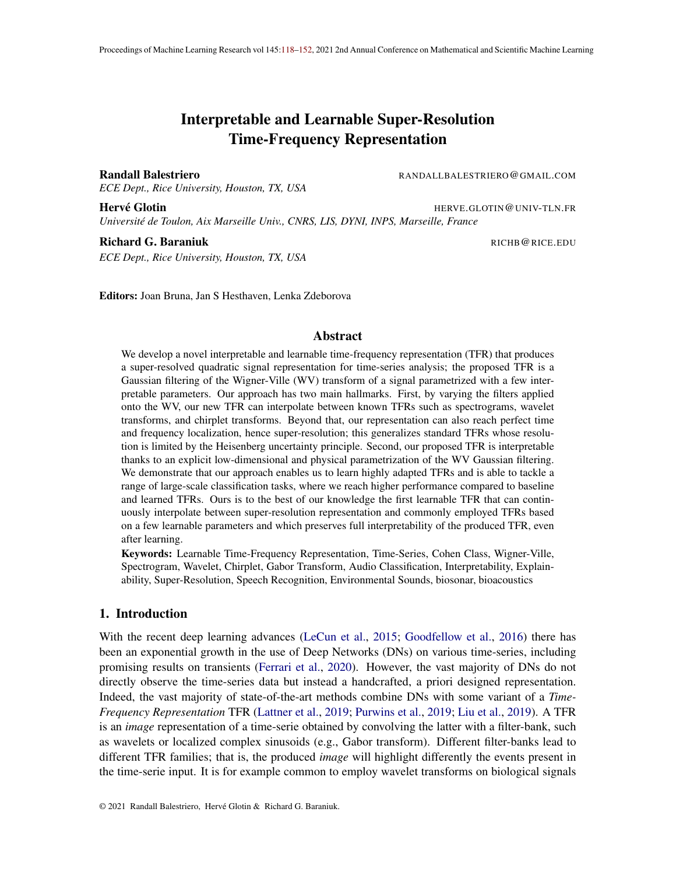Remark 4 Time invariance, $kK_{x}$  $K_{D(x)}$ ;  $K_{L^2(R^2)} = 0$  with D any translation operator, is reached as  $_{t}(f)$  ! 1 ; 8f, frequency invariance  $kK_{x}$  $K_{D(x)}$ :  $k_{L^2(R^2)} = 0$  with D any frequency shift operator, is reached  $a f$  | 1 ; 8f.

Noise Sensitivity.One last important study concerns the sensitivity of the proposed transform in the presence of noise in the signal. That is, we concentrate the above analysis to the cabe where would produce an observation formed by an underlying signal corrupted with additive random noise. In the case of i.i.d. noise variables with nite rst two moments we obtain the following result.

Lemma 5 The K-transform of a noisy signal =  $y +$ , with i.i.d. noise (in time), is a random variable with mean given by

$$
E[K_{x}(t;f)] = K_{y}(t;f) + \sum_{0}^{Z} S(1)_{f} !; f(f); \frac{2}{f}(f) dl; \qquad (7)
$$

with S(!) the noise power density function and is the density function of  $\texttt{\$}$ dimensional Gaussian with given mean and variance. (Proof in App. C.5.)

From the above, we obtain that the K-transform of noisy signals will be biased based on the noise power density function and its correlation with the employed Gaussian kernels. The variance of the noisy transform  $K(t, f)$  can also be obtained analytically as we demonstrate in Lemma 5's proof. While we will focus on classi cation problems in this study, the above result shall open the door to applying the K-transform and learning the Gaussian kernefor denoising applications. We now demonstrate how the-transform can be computed ef ciently solely from Fast Fourier Transforms, for other properties of the transform such as characterization of the interference based on the covariance please see Appendix D.

# 4. Fast Fourier Transform Computation of the K-transform

We carefully develop in this section the implementation of our method as well as present an interesting computation method allowing to scale the K-transform to large scale dataset and signal with long time duration (high number of recorded bins). We then employ our method on various large scale benchmarks and compare with alternative learnable TFRs and demonstrate how the K-transform attains higher accuracies.

#### 4.1. Gaussian Parameter Learning.

Recall from Def. 1 that the K-transforms involves a Gaussian Itering of the<sub>x</sub>We presentation. We propose to learn the Gaussian parameters for each lter of the nite Iter-bank

$$
f_{-1};\ldots;\quad \ \ \mathsf{F} \, g;
$$

where the values of(1);  $\cdots$ ; (F) from (6) are considered as the learnable parameters of the model. In order to ensure stability during training and avoid learning parameters producing non positive semide nite (PSD) covariance matrices we impose

$$
t(i) > 0; \t f(i) > 0; \t (i) 2 \t 0.95 \t {p \t {t(i) + (i); 0.95} \t p \t {t(i) + (i) + (i) ; i = 1; ...; F;}
$$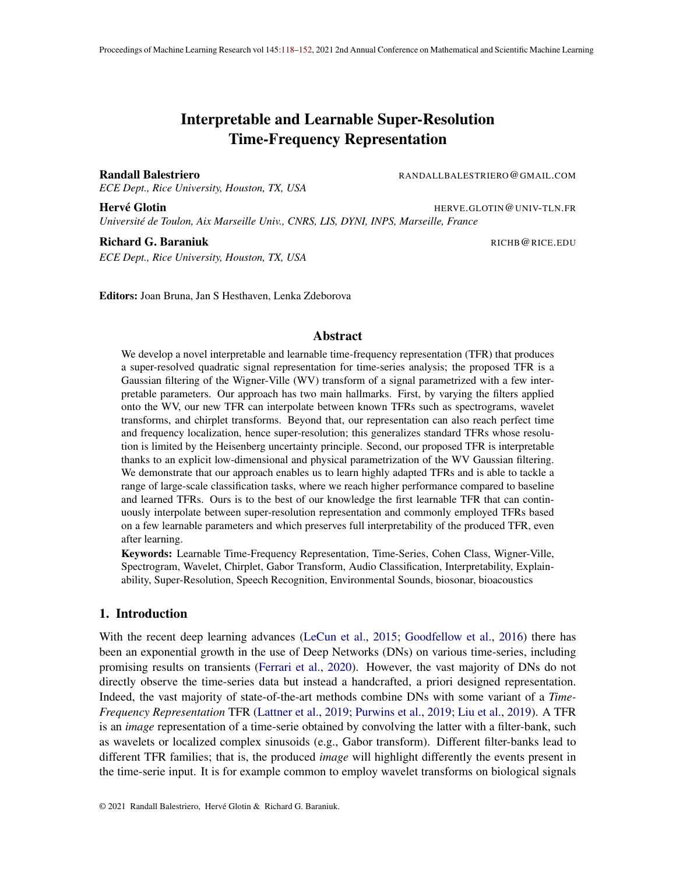ensuring that we can perform unconstrained gradient descent optimization of our objective function without producing covariance matrices that are not PSD. We do not impose constraints ) on from the experiments we observed that no divergence of this parameter occurred; however one could enforce that  $f(i)$  2 [0; ).

#### 4.2. The Short-Time-Fourier-Transform Trick

The de nition of the K-transform leverages the W\tansform of a signal . For a discrete signal of lengthN, this requires the computation on  $\mathbb N$  N matrix obtained by doin $\mathbb N$  Fourier transforms of length N. Its computational complexity is thus quadrat $\mathbb{Q}(N^2 \log(N))$ ) making it unsuited for large scale tasks when can easily reach 00,000 or more. Once again, we will leverage the Gaussian parametrization to greatly speed-up the K-transform computation.

Isotropic covariance case. In order to provide a fast implementation, we will rst consider the case of  $_f$  employing an isotropic covariance matrix, that  $if \, f = 0$  and  $f(f) = f(f)$ ; 8f. In that speci c case, the K-transform can be obtained by (i) computing  $S_{\!\!\!j}\mathsf{T}_{\!\!\!j}\mathsf{F}_{\!\!\!i}\mathsf{T}_{\!\!\!j},$  (ii) doing a spectral autocorrelation of  $ST\overline{k}$ . T and (iii) doing a 2D convolution with a Gaussian with diagonal covariance. We formalize this result below.

Lemma 6 Any K-transform (recall (4)) with  $_f$  having isotropic covariance matrix<sup>2</sup>l<sub>2</sub>; 8f can be obtained via

$$
K_x(t; f) = \begin{array}{cccccc} WV_x ? N & \vdots & \begin{array}{cccc} 0 \\ f(f) \end{array} \end{array}; \begin{array}{cccc} 2I_2 \\ f(f) \end{array} = \begin{array}{cccc} WV_x ? N & \vdots; 0; \begin{array}{cccc} 2I_2 \\ f(f) \end{array} \end{array} (t; f f))
$$
  
= 
$$
\begin{array}{cccc} g & \left( \begin{array}{cccc} 1 \end{array} \right) e^{j2 \cdot \ln S} T F_{x; 1} + t; f(f) + \frac{1}{2} S T F_{x; 1} + t; f(f) + \frac{1}{2} G I; \end{array}
$$

whereg is a 1-dimensional Gaussian function with spread (Proof in App. C.7.)

It is clear from the above result thatgreatly impacts the speed of computation of to (i) it will limit the amount of cross-correlation to perform (not computation needed outside of the effective support ofg which decreases asgrows), and (ii) the STFT computation will be perform on smaller windows as increases. For details on the Gaussian window truncation please see Appendix E. As a result, the above provide a convenient solution to produce a transform with diagonal covariance matrix in the lters  $_f$  and the computational cost increases areduces. In the discrete case, the above turns the complexity fro $\mathcal{D}(N^2 \log(N))$  to  $O(NM \log(M))$  with M the window size (effective support in bins of a Gabor apodization with standard deviation, whereM ! N as

! 0. We now move to the general case of arbitrary covariance matrices.

 $\Omega$ 

General case. In the general case we do not impose any constraint on the kecovariance matrices. Nevertheless, it should be clear that and mensional Gaussian with arbitrary covariance can be rewritten as the convolution between a Gaussian width diagonal covariance matrix and a Gaussian with arbitrary covariance matrix.

Theorem 2 Any K-transform can be obtained from convolving the WV with a diagonal covariance Gaussian and a full covariance Gaussian as 1

$$
K_{x}(t; f) = \bigotimes_{\text{does not depend on}} W_{x} ? N_{\{z = 0, 1, 0\}} ? N(:, 0; (f)) \overset{\frown}{X}(t; f(f));
$$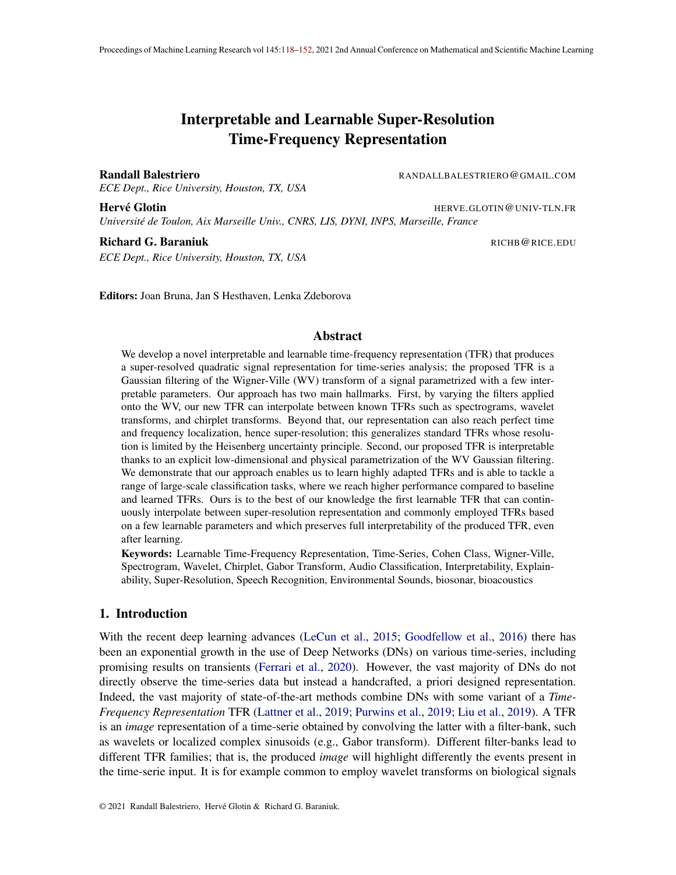time in sec.

Figure 3: Computation time (in sec.) to evaluate  $WVN$  :; 0;  $212$  on signalsx of different lengths depicted with different colors and with varying. The smaller the more localized in time and frequency is the representation, in the limit case of 0 the produced representation falls back to the WV transform. An increase in the length of the signalncurs a linear increase in computation time. The outer left case has similar computation time than the corresponding STFT with sarror its frequency bandwidth.

with (f) a positive semide nite matrix and ithe largest value such that

$$
(f) + {^2}I_2 = {^2}f(f) (f) (f)
$$
  
(f)  $f(f)$ 

(Proof in Appendix C.8.)

By employing the above and Lemma 6 we see how one can compute a priori the representation WV<sub>x</sub> ? N :; 0;  $|^{2}$ I<sub>2</sub> that is then used to produce the desired K-transform. We propose in Fig. 3 computation times of WV? N :; 0;  $21_2$  for different signal lengths and different values of Computing the K-transform for various kernels can be done from a base representation which is not the WV but the already convolved WV. If one a priori imposes a minimal value for the covariance matrix then this method can greatly speed up computation as opposed to employing the analytical WV<sub>x</sub> from (2). Furthermore, the employed STFT is ef ciently implemented in most (CPU/GPU) software allowing an ef cient computation of the transform.

Remark 7 The K-transform time and/or frequency resolution is inversely proportional to its speed of computation.

Pseudo-code. We provide below the explicit pseudo code that summarizes all the involved steps and their impact of the nal representation obtained (see App. G for the computational complexity): 1. Do a Gabor transform of with a Gaussian windowg for apodization leading to ST $F_{\overline{X}}T$ ; this parameter will determine the nal frequency resolution of the transform ( (Prop. 7, Fig. 2). 2. Do the spectral auto-correlation of STFT with a gaussian spectral apodization window to obtain WV<sub>x</sub> ? N :; 0;  $2I_2$  from Lemma 6. This maintains the frequency resolution of  $\text{STFT}_x$  while increasing the original time resolutionby.

3. Compute the K-transform as per Theorem 2.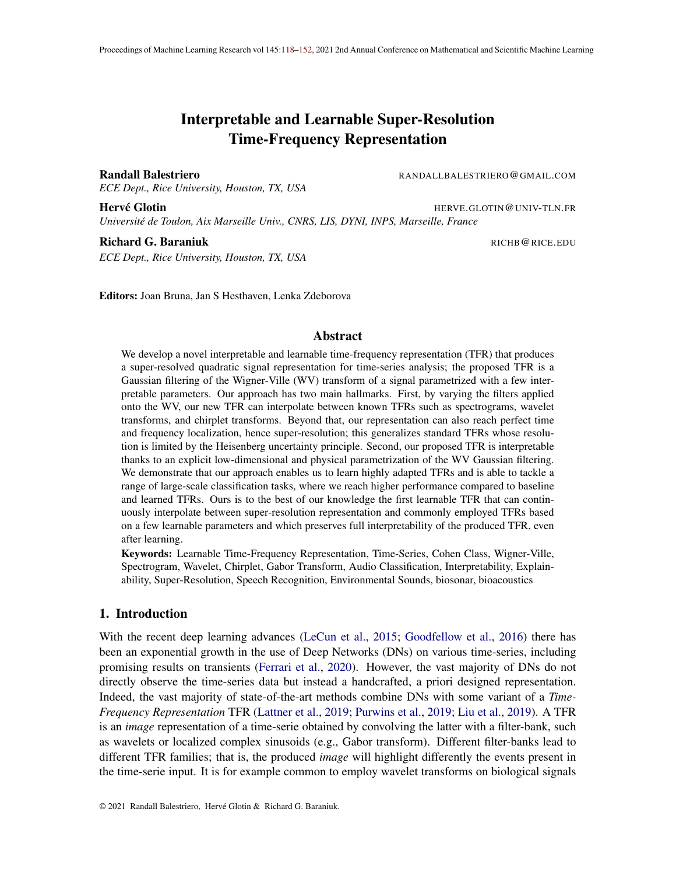frequency

0

#### time **time** time

Figure 4: Depiction of the learned lters :; f ] (Def. 1). The full Iters banks can be found in Appendix B, the vertical over horizontal axes ratio 1s Left, our learned representation on AudioMNIST dataset (Becker et al., 2018) This noiseless speech pushes the Iters with high frequency resolution (easily seen from the lter covariance as per (6)). For some of these lters the time resolution is also very high (reaching super-resolution), while others favor local translation invariance. For all the medium to low frequency lters, great frequency and time invariance is preferred with large gaussian support, with a slight chirpness for the medium frequency lters. Thus, the low frequency lters tend to favor time resolutRoight, our learned representation on Birdvox dataset (Lostanlen et al., 2018We see that the detection of bird songs heavily relies on chirps. Indeed the characteristic sound of birds is increasing or decreasing in frequency over time. Moreover, the learned representation demonstrate lters that reach super-resolution. Thus it encodes with high precision the time and/or frequency position of the events per Prop. 2) as the cost of being more sensitive to input deformation. It ts with the extreme time-frequency accuracy of bird audition and acoustic production (Dooling and Lohr, 2006).

#### 4.3. Experimental Validation

We propose to validate our method on various classi cation tasks. We brie y describe below the used dataset and DN architectures and provide the accuracy results average thrower and over multiple learning rates in Table 1. All dataset are described in details in Appendix H. For each dataset we experiment composing our learnable TFR with three DN architectures (for detailed description of those architectures and additional hyper parameters choices please see Appendix A). First, we consider a simple model that corresponds timear Scattering where we have TFRglobal time averaging-linear classi er. This model will fully rely on the TFR as no additional (non)linear transformation processes the inputs prior reaching the linear classi er. Second, we employ a slightly more complex model involving a nonlinear classi-er instead. That is, we use the pipeline TFR-global time averaging-MLP; we denote it an linear Scattering. Lastly, we extended the Nonlinear Scattering case by employing a convolutional layer prior the time averaging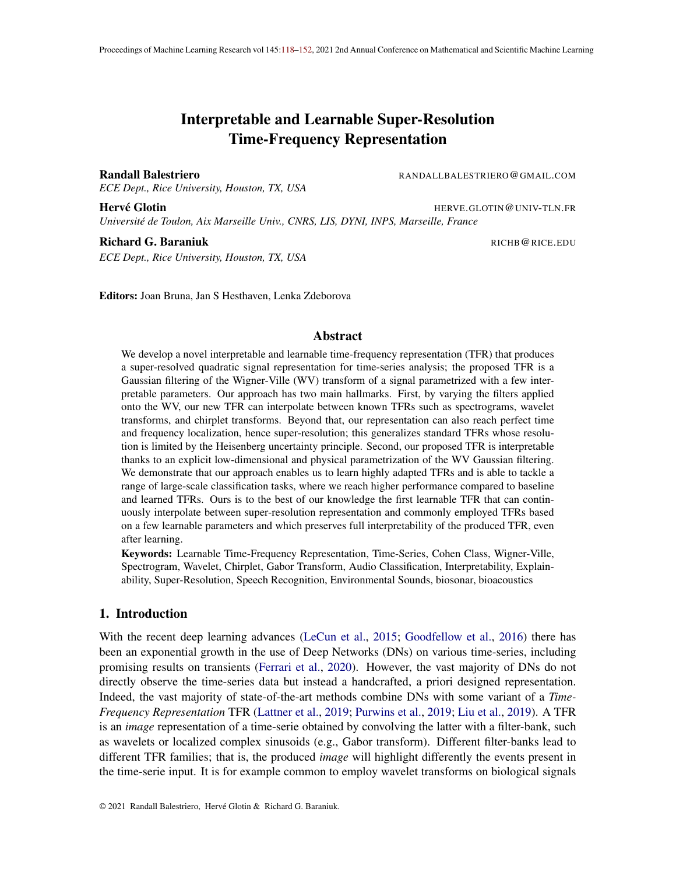Table 1: Average over10 runs of classi cation result using three architectures without data augmentation, one layer scattering followed by a linear classi er (Linear Scattering), one layer scattering followed by a two layer neural network (Nonlinear Scattering) and a two layer scattering with joint (2D) convolution for the second layer followed by a linear classi er (Linear Joint Scattering). For each architecture and dataset, we experiment with the baseline, Morlet wavelet tler-bank (morlet), and learnable frameworks being ours (lwvd), learnable sinc based lters (sinc) and learnable Morlet wavelet (lmorlet). As can be seen, across the dataset, architectures and learning rates, the proposed method provides signi cant performance gains (stds in Tab. 2).The increased gap in performances for the linear case and the ability of the K-transform to reach high accuracies in that linear case con rm the ability to produce highly adapted representations across datasetsFor the reader's curiosity we provide some banchmarks on those datasets, however direct comparison is not possible at different data splitting, data augmentation (in our case no data augmentation is employed) and the likes are different for each study. For Audio MNIST using AlexNet on spectrogram leads to 95%(Becker et al., 2018) accuracy; for biosonar classi cation in DOCC10 challenge raw audio CNN lead to 71:13%test accuracy (Ferrari et al., 2020); for BirdVox, using carefully designed spectrograms with PCA and kernel SVM lead t&7:77% accuracy, and employing insteadayers of 2D convolution and fully connected layers lead \$0:48% (and94:85% with data augmentation) test accuracy (Lostanlen et al., 2018); for the Google command dataset, a DenseNet 121 without pretraining nor data augmentation 80% aches test accuracy (de Andrade et al., 2018) using a spectrogram.

|              |        | Linear Scattering |      |           | Nonlinear Scattering |      |      |           | Linear Joint Scattering                                                                                      |      |      |             |      |
|--------------|--------|-------------------|------|-----------|----------------------|------|------|-----------|--------------------------------------------------------------------------------------------------------------|------|------|-------------|------|
|              |        |                   |      |           |                      |      |      |           | le. rate   morlet   lwvd   sinc   lmorlet   morlet   lwvd   sinc   lmorlet    morlet   lwvd   sinc   lmorlet |      |      |             |      |
| DOCC1        | 0.0002 | 14.3              |      | 63 31.1   | 29.7                 | 54.1 |      | 84.7 74.4 | 74.9                                                                                                         | 70.7 |      | 83.782.4    | 75.8 |
|              | 0.001  | 12.7              |      | 65.5 26.0 | 28.3                 | 50.1 |      | 87.977.4  | 77.4                                                                                                         | 70.1 |      | 80.6 80.8   | 73.2 |
|              | 0.005  | 13.0              |      | 65.9 17.1 | 27.0                 | 51.8 |      | 87.1 43.3 | 83.2                                                                                                         | 65.9 |      | 78.0 70.5   | 80.8 |
| BirdVox      | 0.0002 | 63.8              |      | 77.9 69.6 | 65.4                 | 84.7 |      | 92.988.1  | 85.8                                                                                                         | 82.1 |      | 90.587.2    | 84.3 |
|              | 0.001  | 65.0              |      | 80.0 67.2 | 64.3                 | 85.0 |      | 94.2 88.1 | 86.6                                                                                                         | 80.3 |      | 88.786.8    | 83.1 |
|              | 0.005  | 65.2              |      | 80.4 67.3 | 66.9                 | 84.8 |      | 94.2 86.0 | 87.2                                                                                                         | 78.1 |      | 87.578.3    | 82.8 |
| <b>MNIST</b> | 0.0002 | 43.9              |      | 68.4 52.2 | 44.0                 | 82.3 |      | 85.3 10.4 | 83.0                                                                                                         | 95.3 |      | $97.6$ 22.1 | 95.4 |
|              | 0.001  | 41.5              |      | 68.843.5  | 42.2                 | 83.2 |      | 89.887.1  | 85.4                                                                                                         | 89.7 |      | 97.893.2    | 90.4 |
|              | 0.005  | 34.6              |      | 68.8 23.9 | 36.0                 | 82.7 |      | 22.1 68.7 | 88.1                                                                                                         | 81.1 |      | 12 64.4     | 80.2 |
| command      | 0.0002 | 8.1               | 24.9 | 9.5       | 7.6                  | 33.9 |      | 38.2 36.2 | 33.4                                                                                                         | 65.8 | 76.7 | 3.7         | 66.8 |
|              | 0.001  | 7.5               | 26.1 | 8.0       | 8.2                  | 33.5 |      | 42.9 35.5 | 33.7                                                                                                         | 53.6 |      | 71.8 27.9   | 51.9 |
|              | 0.005  | 7.3               | 25.7 | 6.2       | 6.5                  | 33.0 |      | 17.0 28.9 | 34.8                                                                                                         | 32.1 |      | 35.2 17.2   | 32.9 |
| 5S)          | 0.0002 | 9.7               |      | 15.3 10.3 | 9.0                  | 22.9 | 23.1 | 2.3       | 27.9                                                                                                         | 40.1 | 38.8 | 1.6         | 42.0 |
|              | 0.001  | 9.8               |      | 16.7 10.4 | 10.6                 | 24.2 |      | 27.4 13.1 | 31.1                                                                                                         | 38.9 | 44.9 | 2.1         | 42.3 |
|              | 0.005  | 9.0               | 17.4 | 5.5       | 10.2                 | 24.2 |      | 28.8 16.9 | 30.4                                                                                                         | 25.0 |      | $31.5$ 17.0 | 33.2 |

and then using a linear classi er as in TFR-Conv 2D-global time averaging-linear classi er, and is denoted as linear Joint Scattering). While we provide those different settings to represent the plurality of situations where learnable TFRs can be used in practice, the Linear Scattering model is the one relying the most in the TFR and is thus the case where the most signi cant trends should occur.

In addition to comparing different classi cation networks, we also compare for each of those networks and each dataset our learnable TFR (the K-transform) that we abbreviated ato the learned Morlet Iter-bank (Khan and Yener, 2018) denoted marlet, and to the learnable sinc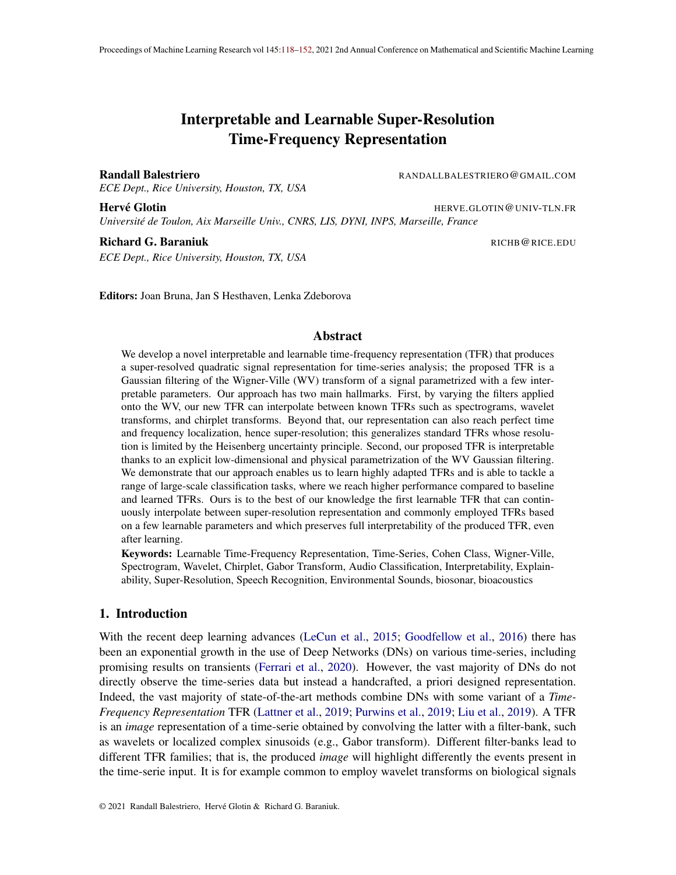based Iter-bank (Ravanelli and Bengio, 2018) denoted ins, which are the current state-of-theart techniques proposing a learnable TFR. In order to calibrate all the results we also compare with a xed Morlet Iter-bank which is the one that is often seen as the most adapted when dealing with speech and bird signals. We do not employ any data-augmentation technique. In all cases the K-transform outperforms other learnable TFRs and the a priori optimal one across dataset and optimization settings, offering signi cant performance gains. We propose in Fig. 4 and Appendix B all the gures of the learned Iters and their interpretation. We provide the results in Tab. 1 and Tab. 2 averaged ovet0 runs, for each of the runs, the same data split, DN initialization and parameters are used across all TFRs to allow exact performance comparisons. We also provide the results across various learning rate to perceptually measure the sensitivity of each method to this parameter. The rst key observation is that the learnable methods are much more sensitive to the learning rate than when using a xed TFR. Nevertheless, the proposed K-transform is able to outperform all methods across the datasets and for any DN. This comes from the extreme adaptivity of the produced TFR. Notice that the xed morlet TFR reaches reasonable accuracy especially on speech data without noise (audio MNIST). This is another key feature of learnable TFR, the ability to learn more robust representations. Another key observation comes from the ability of the proposed method to reach state-of-the-art performances while leveraging a simple (few layer) DN in the Linear Joint Scattering case.

# 5. Conclusions

We proposed a novel approach to learn generic WVD based TFR, derived an ef cient implementation and demonstrated its ability to outperform standard and other learnable TFR techniques across dataset and architecture settings. In addition of learning any desired TFR, our framework is interpretable allowing one to easily understand the physical properties being captured by the learned TFR as well as positioning the learned TFR in the realm of the conventional TFRs such as spectrograms and scalograms. Our study opens many interesting research directions. First, it is possible to perform statistical analysis of noisy signals in order to better design and constrain the Gaussian Iters of the K-transform to minimize the impact of noise into the nal representation. This is a powerful scope that would allow interpretable and theoretically grounded regularization techniques to be obtained for the K-transform lters as has been done in the case of the WV transform in Amirmazlaghani and Amindavar (2009, 2013); Levy et al. (2020). Another extension of the proposed method is model-based signal approximation, such as using a tree model Baraniuk (1999). Yet another extension consists of using an additional learnable parameter for the time dimension of the Gaussian Iters mean parameters. Doing so would allow further exibility in the learned representation at the cost of reduced interpretability as each frequency dimension will have its own time alignment. Such a compromise of representation power versus interpretability should offer more options for practitioners. Lastly, it is possible to leverage advances in computational methods for performing convolutions with Gaussian lters (Getreuer, 2013) in order to speed up the proposed method or enable CPU and/or memory ef cient computations.

Acknowledgments:Randall Balestriero and Richard Baraniuk are supported by NSF grants CCF-1911094, IIS-1838177, and IIS-1730574; ONR grants N00014-18-12571, N00014-20-1-2787, and N00014-20-1-2534; AFOSR grant FA9550-18-1-0478; and a Vannevar Bush Faculty Fellowship, ONR grant N00014-18-1-2047. Hervé Glotin is supported by AI Chair ADSIL ANR-20-CHIA-0014, SMILES ANR-18-CE40-0014.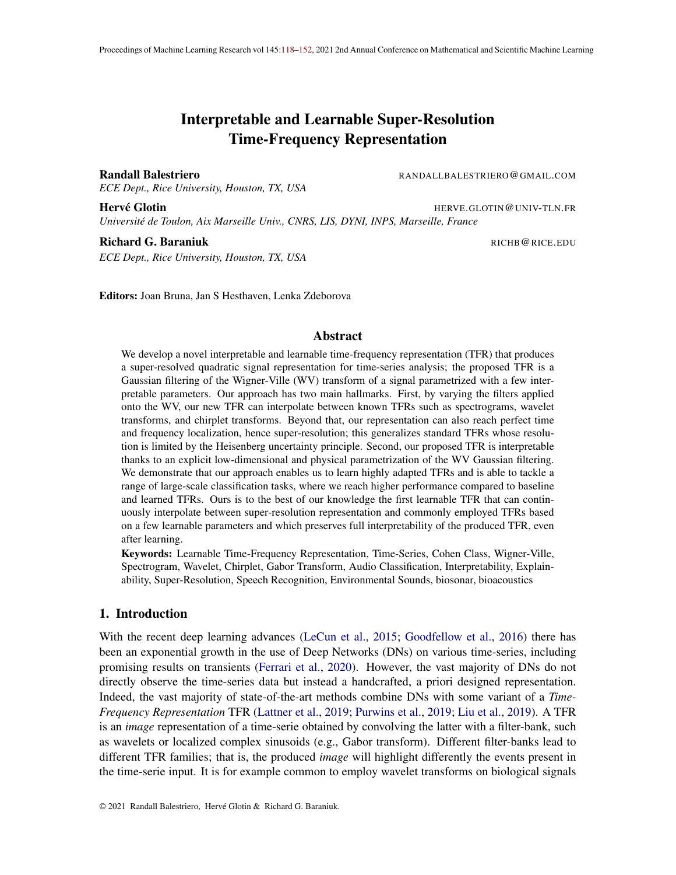# References

- Felix Abramovich, Theofanis Sapatinas, and Bernard W Silverman. Wavelet thresholding via a bayesian approach urnal of the Royal Statistical Society: Series B (Statistical Methodology) 60(4):725–749, 1998.
- Jonathan Allen. Short term spectral analysis, synthesis, and modi cation by discrete fourier transform. IEEE Transactions on Acoustics, Speech, and Signal Proce \$5(3):235–238, 1977.
- Maryam Amirmazlaghani and Hamidreza Amindavar. Modeling and denoising wigner-ville distribution. In2009 IEEE 13th Digital Signal Processing Workshop and 5th IEEE Signal Processing Education Workshoppages 530–534. IEEE, 2009.
- Maryam Amirmazlaghani and Hamidreza Amindavar. Statistical modeling and denoising wigner– ville distribution. Digital Signal Processing  $23(2)$ : 506-513, 2013.
- Mawardi Bahri and Ryuichi Ashino. Convolution and correlation theorems for wigner-ville distribution associated with linear canonical transform. 2015 12th International Conference on Information Technology-New Generations ages 341–346. IEEE, 2015.
- Randall Balestriero and Her Glotin. Wavelet learning by adaptive hermite cubic splines applied to bioacoustic chirps. InOCEANS 2019 - Marseille pages 1–5, 2019. doi: 10.1109/OCEANSE. 2019.8867410.
- Randall Balestriero, Romain Cosentino, Herve Glotin, and Richard Baraniuk. Spline Iters for endto-end deep learning. IProc. 35th Int. Conf. on Machine Learning plume 80, pages 364–373, 10–15 Jul 2018.
- Richard Baraniuk. Optimal tree approximation with wavelets. Wawelet Applications in Signal and Image Processing VII olume 3813, pages 196–208. International Society for Optics and Photonics, 1999.
- Richard Baraniuk and Douglas Jones. Wigner-based formulation of the chirplet transfering. Transactions on signal processing  $(12):3129-3135, 1996$ .
- Richard Baraniuk and Philippe Steeghs. Compressive radar imagin 2007 IEEE radar conference, pages 128–133. IEEE, 2007.
- Robert Barclay. Bats are not birds—a cautionary note on using echolocation calls to identify bats: a comment.Journal of Mammalogy80(1):290–296, 1999.
- Sören Becker, Marcel Ackermann, Sebastian Lapuschkin, Klaus-RobelterMand Wojciech Samek. Interpreting and explaining deep neural networks for classi cation of audio signals. arXiv preprint arXiv:1807.0341,82018.
- Ronald Newbold Bracewell and Ronald Bracewell he Fourier transform and its applications volume 31999. McGraw-Hill New York, 1986.
- Judith Brown. Calculation of a constant q spectral transforme Journal of the Acoustical Society of America, 89(1):425–434, 1991.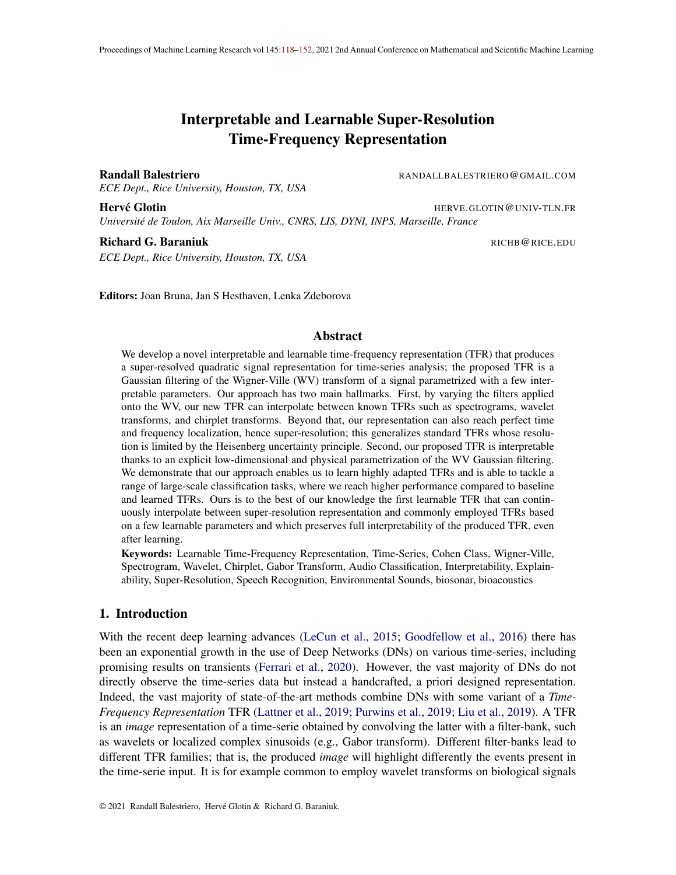- Joan Bruna and Sphane Mallat. Invariant scattering convolution networks. E transactions on pattern analysis and machine intelligen $\mathcal{C}\mathcal{F}(8)$ :1872–1886, 2013.
- Emre Cakir and Tuomas Virtanen. End-to-end polyphonic sound event detection using convolutional recurrent neural networks with learned time-frequency representation inputCNN pages 1–7. IEEE, 2018.
- Chris Capus and Keith Brown. Short-time fractional fourier methods for the time-frequency representation of chirp signals The Journal of the Acoustical Society of America 3(6):3253-3263, 2003.
- Leon Cohen. Time-frequency distributions-a revie $\mathbf{\Theta}$  roceedings of the IEEE77(7):941–981, 1989.
- Leon Cohen.Time-frequency analysis olume 778. Prentice hall, 1995.
- Taco Cohen and Max Welling. Group equivariant convolutional networkbaternational conference on machine learning ages 2990–2999, 2016.
- Taco Cohen, Mario Geiger, Jonasöller, and Max Welling. Spherical CNNs. CoRR abs/1801.10130, 2018.
- Ronald Coifman and Victor Wickerhauser. Entropy-based algorithms for best basis sellet fin. Transactions on information theor \$8(2): 713–718, 1992.
- Ronald Coifman, Yves Meyer, Steven Quake, and Victor Wickerhauser. Signal processing and compression with wavelet packets. Wavelets and their application pages 363–379. Springer, 1994.
- Elena Cordero and Fabio Nicola. Sharp integral bounds for wigner distributibniernational Mathematics Research Notice \$18(6): 1779–1807, 2018.
- Romain Cosentino and Behnaam Aazhang. Learnable group transform for time-selriderriational Conference on Machine Learningages 2164–2173. PMLR, 2020.
- Romain Cosentino, Randall Balestriero, and Behnaam Aazhang. Best basis selection using sparsity driven multi-family wavelet transform. I<sub>2016</sub> IEEE Global Conference on Signal and Information Processing (GlobalSIP) pages 252–256. IEEE, 2016.
- Ingrid Daubechies. The wavelet transform, time-frequency localization and signal ant ESES. transactions on information theor $$6(5):961-1005, 1990.$
- Ingrid Daubechies Ten lectures on wavelet SIAM, 1992.
- Ingrid Daubechies and Fabrice Planchon. Adaptive gabor transformstied and Computational Harmonic Analysis13(1): 1-21, 2002.
- Stephen Dawson. Clicks and communication: the behavioural and social contexts of hector's dolphin vocalizations.Ethology 88(4):265–276, 1991.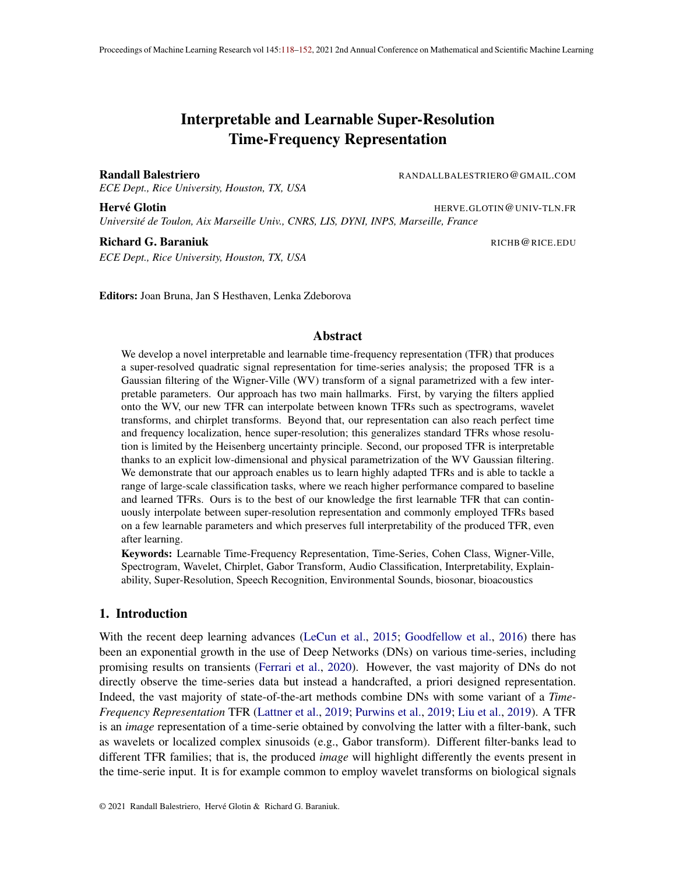- Douglas Coimbra de Andrade, Sabato Leo, Martin Loesener Da Silva Viana, and Christoph Bernkopf. A neural attention model for speech command recognition. Xiv preprint arXiv:1808.089292018.
- Minh Do and Martin Vetterli. Orthonormal nite ridgelet transform for image compressionP.rdn ceedings 2000 International Conference on Image Processing (Cat. No. 00CH37dl0the 2, pages 367–370. IEEE, 2000.
- David Donoho. On minimum entropy segmentation. Wavelet Analysis and Its Applications volume 5, pages 233–269. Elsevier, 1994.
- Robert Dooling and Bernard Lohr. Auditory temporal resolution in the Zebra Finch (Taeniopygia guttata): A model of enhanced temporal acum mithological Science  $5(1)$ :15 – 22, 2006. doi: 10.2326/osj.5.15.
- Maxence Ferrari, Het Glotin, Ricard Marxer, and Mark Asch. Docc10: Open access dataset of marine mammal transient studies and end-to-end cnn classi catidnt. I bint Conf. on Neural Networks (IJCNN) pages 1–8. IEEE, 2020.
- Patrick Flandrin. Temps–diquence (tradit des nouvelles technologies in traitement du signal). 1993.
- Patrick Flandrin.Time-frequency/time-scale analysicademic press, 1998.
- Patrick Flandrin and Bernard Escedi An interpretation of the pseudo-wigner-ville distribution. Signal Processing $6(1)$ : 27–36, 1984.
- Patrick Flandrin and Oliver Rioul. Af ne smoothing of the wigner-ville distribution. International Conference on Acoustics, Speech, and Signal Processings 2455–2458. IEEE, 1990.
- Eduardo Fonseca, Manoj Plakal, Frederic Font, Daniel PW Ellis, Xavier Favory, Jordi Pons, and Xavier Serra. General-purpose tagging of freesound audio with audioset labels: Task description, dataset, and baselinerXiv preprint arXiv:1807.0990, 2018.
- Dennis Gabor. Theory of communication. part 1: The analysis of information untion of the Institution of Electrical Engineers-Part III: Radio and Communication Engineer \$3426): 429– 441, 1946.
- Pascal Getreuer. A survey of gaussian convolution algorithmage Processing On Line 2013: 286–310, 2013.
- Bradford Gillespie and Les Atlas. Optimizing time-frequency kernels for classi catibrEE Transactions on Signal Processin<sup>t</sup> (3):485–496, 2001.
- Hervé Glotin, Julien Ricard, and Randall Balestriero. Fast chirplet transform injects priors in deep learning of animal calls and speech. ICLR (Workshop) 2017.
- Ian Goodfellow, Yoshua Bengio, and Aaron Courvilleeep Learningvolume 1. MIT Press, 2016.
- Rémi Gribonval. Fast matching pursuit with a multiscale dictionary of gaussian chile Transactions on signal Processint  $(9)(5)$ : 994-1001, 2001.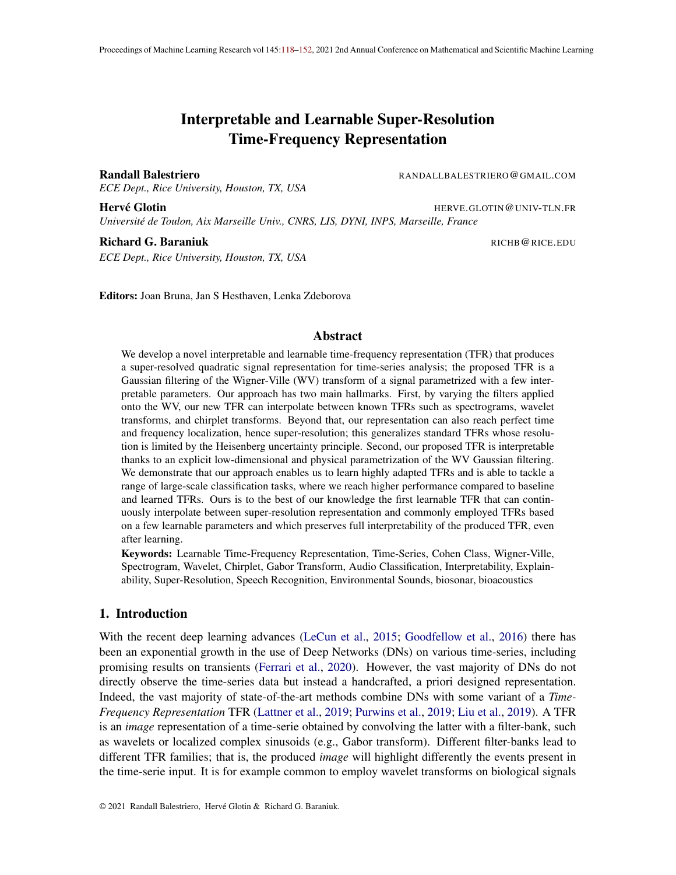- Alfred Haar. Zur theorie der orthogonalen funktionensyster@eorg-August-Universitat, Gottingen., 1909.
- Werner Heisenberg. Über den anschaulichen Inhalt der quantentheoretischen Kinematik und Mechanik.Zeitschrift fur Physik, 43(3-4):172–198, Mar 1927. doi: 10.1007/BF01397280.
- Franz Hlawatsch, Thulasinath Manickam Green Urbanke, and William Jones. Smoothed pseudowigner distribution, choi-williams distribution, and cone-kernel representation: Ambiguitydomain analysis and experimental comparisonal Processing 43(2): 149–168, 1995.
- Dong-Yan Huang, Minghui Dong, and Haizhou Li. A real-time variable-q non-stationary gabor transform for pitch shifting. InSixteenth Annual Conference of the International Speech Communication Association2015.
- Florent Jaillet and Bruno To tsani. Time-frequency jigsaw puzzle: Adaptive multiwindow and multilayered gabor expansionsht. J. of Wavelets, Multiresolution and Inf. Pro $\mathfrak{a}(02)$ : 293– 315, 2007.
- Arne Jensen and Anders la Cour-Harboipples in mathematics: the discrete wavelet transform Springer Science & Business Media, 2001.
- Jechang Jeong and William Williams. Variable-windowed spectrograms: connecting cohen's class and the wavelet transform. Frifth ASSP Workshop on Spectrum Estimation and Modetiages 270–274. IEEE, 1990.
- Douglas Jones and Richard Baraniuk. A simple scheme for adapting time-frequency representations. IEEE Transactions on Signal Processing (12):3530-3535, 1994.
- Haidar Khan and Bulent Yener. Learning lter widths of spectral decompositions with wavelets. In S. Bengio, H. Wallach, H. Larochelle, K. Grauman, N. Cesa-Bianchi, and R. Garnett, editors, Advances in Neural Inf. Proc. Sys., 30ages 4601-4612. 2018.
- Risi Kondor and Shubhendu Trivedi. On the generalization of equivariance and convolution in neural networks to the action of compact groups. 2018.
- Erwin Kreyszig. Introductory functional analysis with application solume 1. wiley New York, 1978.
- Stefan Lattner, Monika Dr er, and Andreas Arzt. Learning complex basis functions for invariant representations of audiarXiv preprint arXiv:1907.0598, 22019.
- Erwan Le Pennec and Sthane Mallat. Image compression with geometrical wavelets. Proceedings 2000 International Conference on Image Processing (Cat. No. 00CH37dl0the 1, pages 661–664. IEEE, 2000.
- Yann LeCun, Yoshua Bengio, and Geoffrey Hinton. Deep learning ture, 521(7553): 436–444, 2015.
- Chagai Levy, Monika Pinchas, and Yosef Pinhasi. Characterization of nonstationary phase noise using the wigner–ville distributionMathematical Problems in Engineering020, 2020.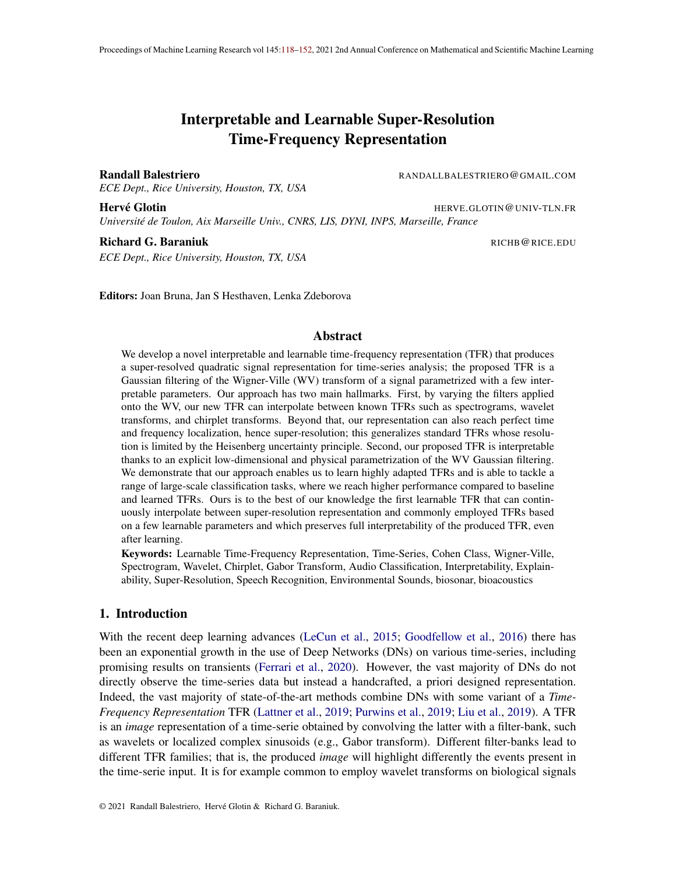- Caifeng Liu, Lin Feng, Guochao Liu, Huibing Wang, and Shenglan Liu. Bottom-up broadcast neural network for music genre classi catioarXiv preprint arXiv:1901.0892,82019.
- Beth Logan et al. Mel frequency cepstral coef cients for music modeling sminir, volume 270, pages 1–11, 2000.
- Vincent Lostanlen, Justin Salamon, Andrew Farnsworth, Steve Kelling, and Juan Pablo Bello. Birdvox-full-night: A dataset and benchmark for avian ight call detection. 2018 IEEE International Conference on Acoustics, Speech and Signal Processing (ICASSES) 266-270. IEEE, 2018.
- Vincent Lostanlen, Alice Cohen-Hadria, and Juan Pablo Bello. One or two components? the scattering transform answersarXiv preprint arXiv:2003.0103,72020.
- Ying Luo, Qun Zhang, Cheng-wei Qiu, Xian-jiao Liang, and Kai-ming Li. Micro-doppler effect analysis and feature extraction in isar imaging with stepped-frequency chirp sil FEE Transactions on Geoscience and Remote Sensing (4):2087-2098, 2009.
- Stéphane Mallat. A theory for multiresolution signal decomposition: the wavelet representation. IEEE transactions on pattern analysis and machine intellige  $\frac{4}{5}$ ( $\frac{274}{693}$ , 1989.
- Stéphane MallatA wavelet tour of signal processing: the sparse way ademic press, 2008.
- Stéphane Mallat. Group invariant scatterin Gomm. Pure Appl. Math. 65(10): 1331–1398, July 2012.
- Stéphane Mallat. Understanding deep convolutional networks ilosophical Transactions of the Royal Society A: Mathematical, Physical and Engineering Scient 34(2065):20150203, 2016.

Ives Meyer. Wavelets and application solume 31. Masson Paris, 1992.

- José Moyal. Quantum mechanics as a statistical theoryMathematical Proceedings of the Cambridge Philosophical Societ wolume 45, pages 99–124. Cambridge University Press, 1949.
- Albert Nuttall. Wigner distribution function: Relation to short-term spectral estimation, smoothing, and performance in noise. Technical report, Naval Underwater sys. center New London Lab, 1988.
- Soo-Chang Pei and Shih-Gu Huang. Stft with adaptive window width based on the chirle Effe. Transactions on Signal Processino (8):4065-4080, 2012.
- Hendrik Purwins, Bo Li, Tuomas Virtanen, Jan Süder, Shuo-Yiin Chang, and Tara Sainath. Deep learning for audio signal processint EEE J. Sel. Topics in Signal Prod. 3(2): 206–219, 2019.
- Kannan Ramchandran and Martin Vetterli. Best wavelet packet bases in a rate-distortion sense. IEEE Transactions on Image Processing (2):160-175, 1993.
- Mirco Ravanelli and Yoshua Bengio. Interpretable convolutional Iters with sincaretiv preprint arXiv:1811.097252018.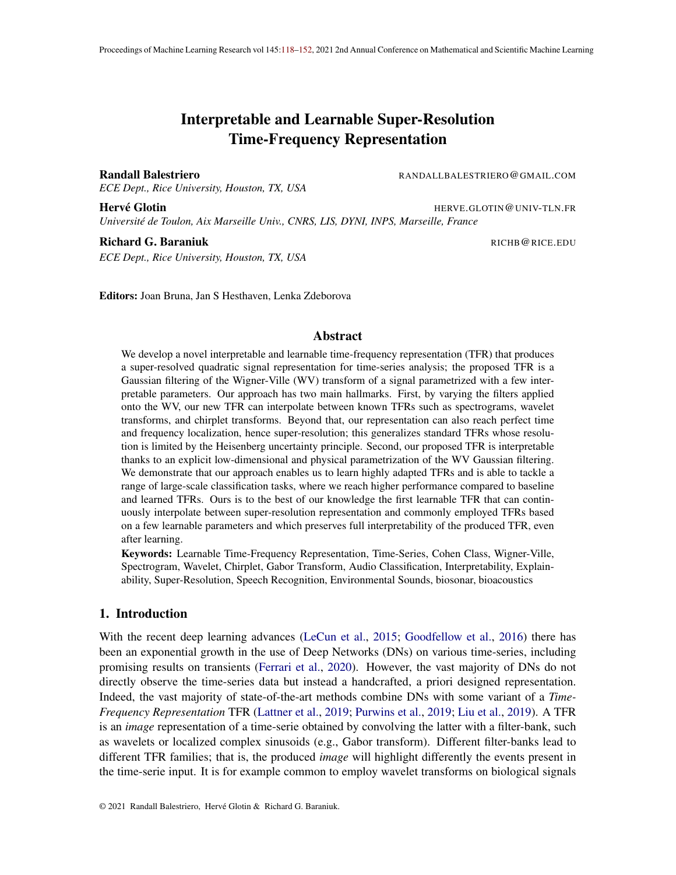- Debashis Sen. The uncertainty relations in quantum mechadiosent Sciencepages 203-218, 2014.
- Léonard Seydoux, Randall Balestriero, Piero Poli, Maarten De Hoop, Michel Campillo, and Richard Baraniuk. Clustering earthquake signals and background noises in continuous seismic data with unsupervised deep learningature communications 1(1):1-12, 2020.
- Ljubisa Stankovic and Srdjan Stankovic. Wigner distribution of noisy signaller Transactions on Signal Processing 41(2): 956–960, 1993.
- Omid Talakoub, Jie Cui, and Willy Wong. Approximating the time-frequency representation of biosignals with chirplets EURASIP Journal on Advances in Signal Process 2001 0:1–10, 2010.
- Jean Ville. Theorie et application dela notion de signal analytio to bet transmission  $\mathcal{Q}(1)$ : 61–74, 1948.
- Alex Waibel, Toshiyuki Hanazawa, Geoffrey Hinton, Kiyohiro Shikano, and Kevin J Lang. Phoneme recognition using time-delay neural netwo **FEE** transactions on acoustics, speech, and signal processin $$7(3):328-339,1989$ .
- Pete Warden. Speech commands: A public dataset for single-word speech recogleitismow, 2017.
- Eugene Wigner. On the Quantum Correction For Thermodynamic Equilibr Rhim sical Review 40(5):749–759, Jun 1932. doi: 10.1103/PhysRev.40.749.
- Zixiang Xiong, Kannan Ramchandran, and Michael T Orchard. Wavelet packet image coding using space-frequency quantization. EEE transactions on image processing (6):892–898, 1998.
- Qinye Yin, Shie Qian, and Aigang Feng. A fast re nement for adaptive gaussian chirplet decomposition. IEEE transactions on signal processing 0(6):1298–1306, 2002.
- Neil Zeghidour, Nicolas Usunier, Iasonas Kokkinos, Thomas Schaiz, Gabriel Synnaeve, and Emmanuel Dupoux. Learning lterbanks from raw speech for phone recognitiolCASSP, pages 5509–5513. IEEE, 2018.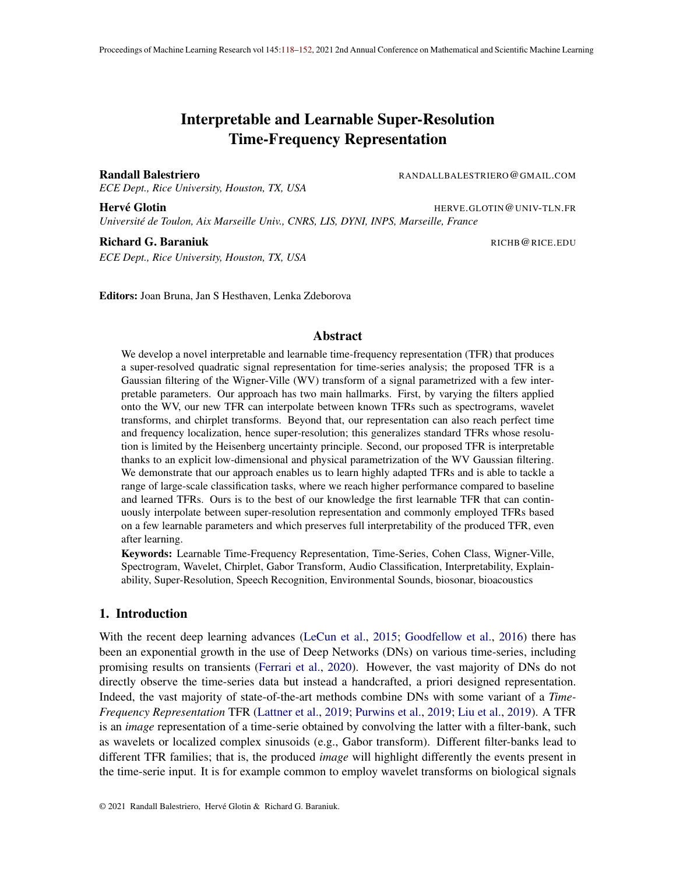# Supplementary Material

This appendix proposes to rst review the implementation details and visual results of the paper, studying the learned lters, we conclude with all the proofs of the theoretical results.

# Appendix A. DN topology

We leverage a time translation covariant form of the proposed learnable model as we aim at solving classi cation tasks based on audio clips. Hence the representation should be translation invariant. We keep the unconstrained frequency dimensions and thus do not impose any frequency shift invariance as in the Cohen class family of representations. The kernels are parametrized as given in the main text and the networks are given as follows:

TF: any representation (morlet, lwvd, ...) the first mean(3) represents time pooling - onelayer\_nonlinear\_scattering input =  $T.log(TF.macan(3).reshape([N, -1])+0.1)$ Dropout(0.3) Dense(256) BatchNormalization([0]) LeakyReLU Dropout(0.1) Dense(n\_classes) - onelayer nonlinear scattering:  $input = T.log(TF_mean(3).reshape([N, -1])+0.1)$ Dropout(0.1) Dense(n\_classes) - joint\_linear\_scattering: feature =  $T.log(TF.macan(3).reshape([N, -1])+0.1)$  $input = T.log(TF+0.1)$ Conv2D(64, (32,16)) BatchNormalization([0,2,3]) AbsoluteValue Concatenate(AbsoluteValue, feature) Dropout(0.1)

all training is done with the Adam optimizer, same initialization and data splitting.

Dense(n\_classes)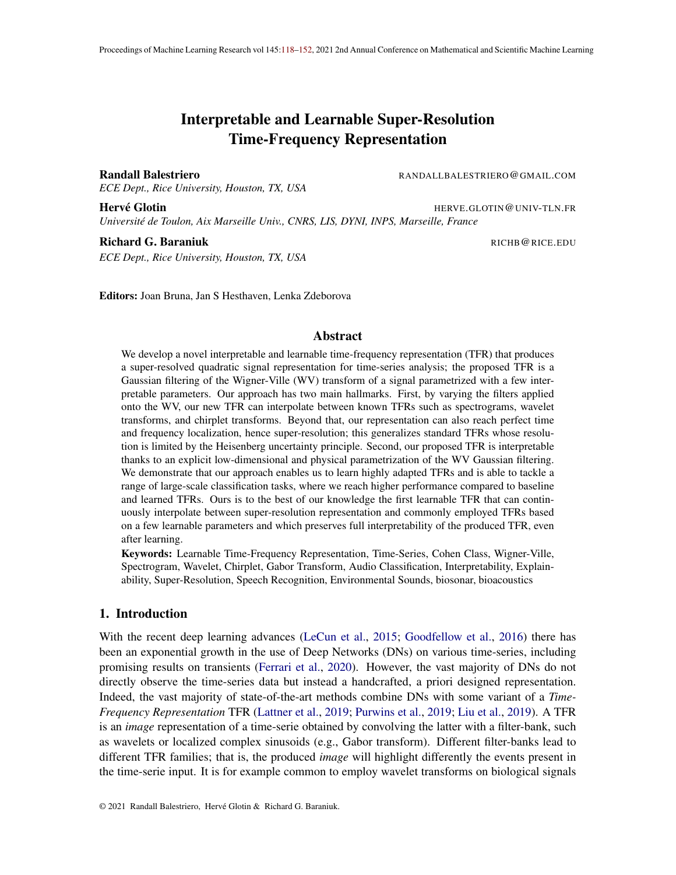# Appendix B. Additional Figures

We represent in this section the learned lters/kernelspplied on the smoothed pseudo Wigner-Ville distribution, for clarity we only depict one every 4 Iters, concatenated horizontally. We do so for three dataset and provide analysis in the caption of each gures.

# B.1. Samples of learnt Iters

We propose in Fig. 5 and Fig. 8 and Fig. 7 the Iters after learning for each dataset with their analysis.

Figure 5: Audio MNIST: this dataset deals with spoken digit classi cation. A few key observations: the high frequency lters tend to take an horizontal shape greatly favoring frequency resolution, for some of the lters the time resolution is also very high (reaching super-resolution) while others favor local translation invariance. For all the medium to low frequency lters, great frequency and time invariance is preferred (large gaussian support) with a slight chirpness for the medium frequency Iters. The low frequency Iters tend to favor time resolution.

# Appendix C. Proofs

In this section we present in details all the proofs of the main paper results, as well as providing some additional ones.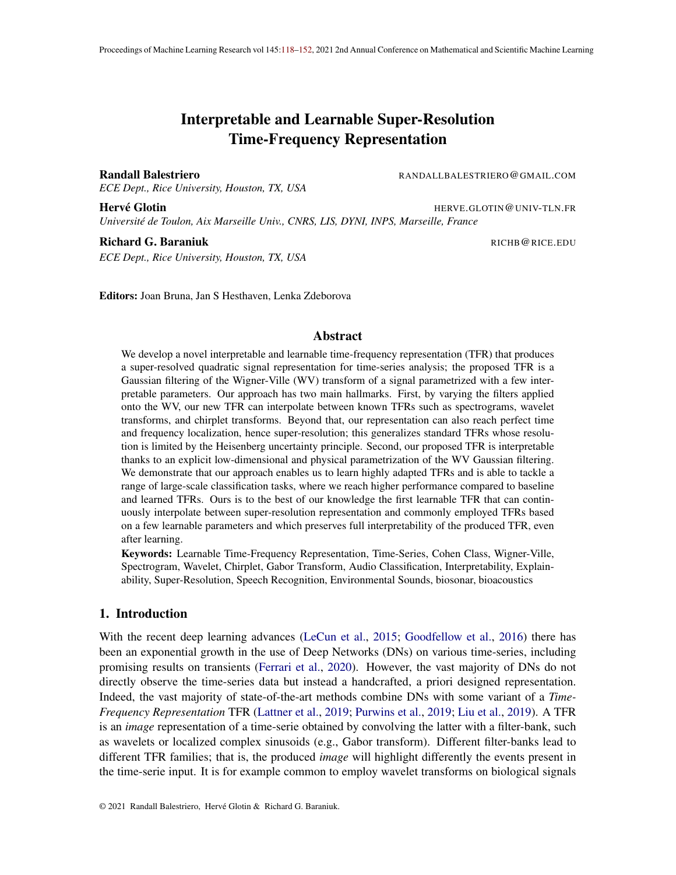Figure 6: FreeSound: this dataset contains various different classes ranging on different frequencies and without an a priori prefered form of the events in the WV space. As opposed to the AudioM-NIST case, we can see that the kernels tend to have smaller covariance (support) hence preferring time and frequency resolution to invariance. This becomes especially true for the high frequency atoms. We also see the clear chirpness for the medium/high frequency kernels with a speci c (-30) angle, with decreasing slope. This might be speci c to some particular events involving moving objects such as train, cars and so on.

C.1. Proof of Lemma 2

Let rst prove the general case with arbitrary kernels

Lemma 8 The norm of the difference of two representations obtained from kernarid  $^{-0}$  is bounded above ak $K_{x}$ ;  $K_{x}$ ;  $\delta k_{L^2(R^2)}$  k  $xk_{L^2(R)}^2$  k  $\delta k_{L^2(R^4)}$ : with k  $\delta k_{L^2(R^4)}$  = t<sub>t</sub> k(  $^{0}$  )[t; f ]k<sup>2</sup><sub>L<sup>2</sup>(R<sup>2</sup>)</sub>.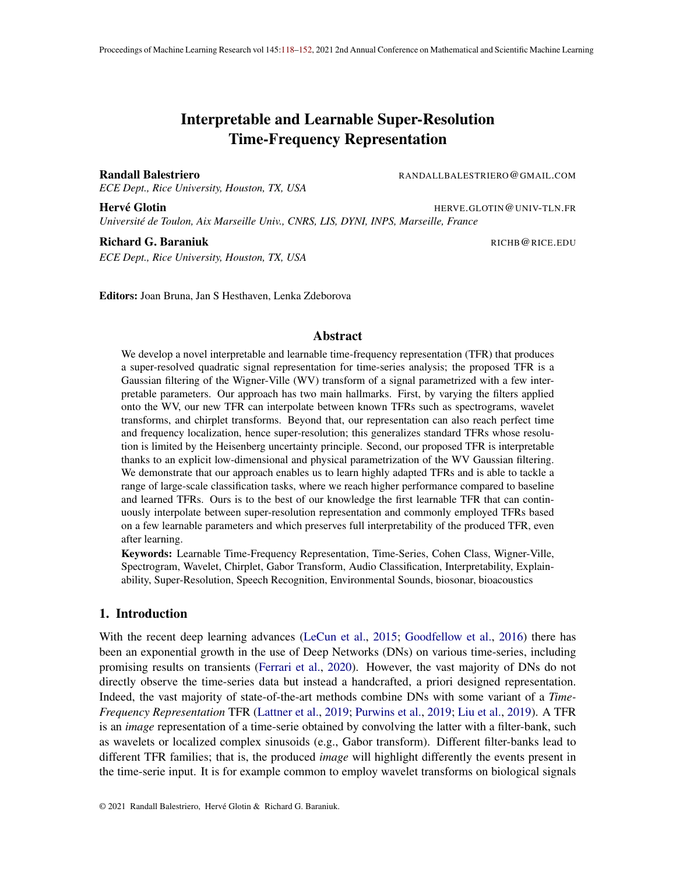Figure 7: Bird: This dataset proposes to predict the presence or absence of a bird in short audio clips. A priori, detection of such events heavily relies on chirps, the characteristic sound of birds with increasing/decreasing frequency over time. We can see from the learned Iters how the learned representation indeed focuses on such patterns, reach super-resolution and thus extreme sensitivity to the time and frequency position of the events, in particular for medium to low frequency kernels. For high frequency kernels, the time and frequency resolution is further increased.

Proof First, one can easily derive  $W_x k_{L^2(R)} = kx k_{L^2(R^2)}^2$  (see for example Cordero and Nicola (2018)). Given this, and the de nition of the K-transform, we obtain that  $s \neq$ 

$$
kK_{x}; \quad K_{x} \text{ ok}_{L^{2}(R^{2})} = \int_{\text{tr}}^{t} (hWV_{x}; [t; f]i_{L^{2}(R^{2})} h WV_{x}; \,^{\text{T}}[t; f]i_{L^{2}(R^{2})})^{2}
$$
\n
$$
= \int_{\text{tr}}^{t} hWV_{x}; [t; f] \,^{\text{T}}[t; f]i_{L^{2}(R^{2})}
$$
\n
$$
= \int_{\text{tr}}^{t} kWV_{x}k_{L^{2}(R^{2})}^{2}k [t; f] \,^{\text{T}}[t; f]k_{L^{2}(R^{2})}^{2}
$$
\n
$$
= kWV_{x}k_{L^{2}(R^{2})} \qquad k [t; f] \,^{\text{T}}[t; f]k_{L^{2}(R^{2})}^{2}
$$
\n
$$
= kxk_{L^{2}(R)}^{2} \qquad \text{tr}[t; f] \,^{\text{T}}[t; f]k_{L^{2}(R^{2})}^{2}
$$
\n
$$
= kxk_{L^{2}(R)}^{2} \qquad \text{tr}[t; f] \,^{\text{T}}[t; f]k_{L^{2}(R^{2})}^{2}
$$
\n
$$
= kxk_{L^{2}(R)}^{2}k \qquad \text{R}_{L^{2}(R^{4})}^{2}
$$
\n
$$
= \frac{1}{2}kx_{L^{2}(R)}^{2}k \qquad \text{R}_{L^{2}(R^{4})}^{2}
$$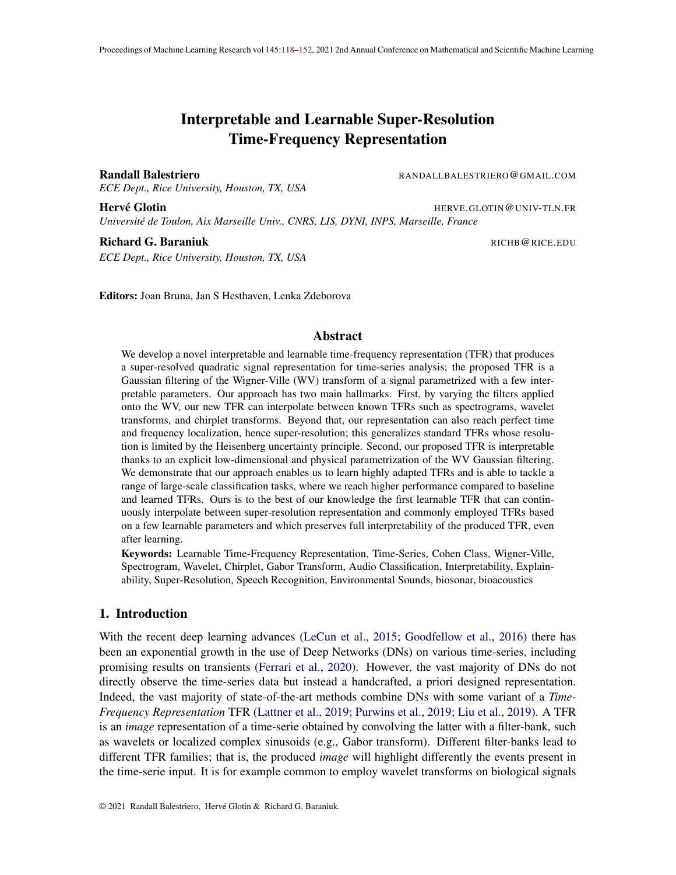Table 2: Std over10 runs of classi cation result using three architectures, one layer scattering followed by a linear classi er (Linear Scattering), one layer scattering followed by a two layer neural network (Nonlinear Scattering) and a two layer scattering with joint (2D) convolution for the second layer followed by a linear classi er (Linear Joint Scattering). For each architecture and dataset, we experiment with the baseline, Morlet wavelet tler-bank (morlet), and learnable frameworks being ours (lwvd), learnable sinc based lters (sinc) and learnable Morlet wavelet (lmorlet). As can be seen, across the dataset, architectures and learning rates, the proposed method provides signi cant performance gains.

|                |        | <b>Linear Scattering</b> |          |     | <b>Nonlinear Scattering</b> |     |      |                | <b>Linear Joint Scattering</b>                                                                                  |                  |     |            |     |
|----------------|--------|--------------------------|----------|-----|-----------------------------|-----|------|----------------|-----------------------------------------------------------------------------------------------------------------|------------------|-----|------------|-----|
|                |        |                          |          |     |                             |     |      |                | le. rate   morlet   lwvd   sinc   lmorlet    morlet    lwvd   sinc   lmorlet    morlet    lwvd   sinc   lmorlet |                  |     |            |     |
| DOCC1          | 0.0002 | 3                        | 0.2      | 1.1 | 1.1                         | 0.8 |      | $0.2$ 24.6     | 0.8                                                                                                             | 0.2              | 0.1 | 40         | 0.1 |
|                | 0.001  | 1.8                      | 0.1      | 1.5 | 1.4                         | 1.5 |      | 0.2 25.6       | 0.6                                                                                                             | 0.8              |     | 0.2 26.7   | 0.3 |
|                | 0.005  | 1.4                      | 0.9      | 1.6 | 0.6                         | 1.2 |      | 28.8 14.3      | 0.5                                                                                                             | 0.4              |     | 25.8 34.2  | 0.5 |
| <b>BirdVox</b> | 0.0002 | 0.3                      | $\Omega$ | 1   | 0.2                         | 0.2 |      | 0.2 42.6       | 0.1                                                                                                             | 0.3              | 0.3 | 0.3        | 0.2 |
|                | 0.001  | 0.7                      | 0.2      | 1.9 | 1.6                         | 0.2 |      | $0.2$  29.1    | 0.3                                                                                                             | 0.4              | 0.4 | 0.8        | 0.3 |
|                | 0.005  | 0.8                      | 0.9      | 1.1 | 0.9                         | 0.2 |      | 47.1 28.5      | 0.3                                                                                                             | 0.4              |     | 37.9 25.9  | 0.5 |
| <b>MNIST</b>   | 0.0002 | 0.8                      | 0.4      | 0.6 | 1                           | 0.1 |      | $0.1$   27.5   | 0.2                                                                                                             | 0.2              |     | $0.1$ 38.6 | 0.2 |
|                | 0.001  | 1.9                      | 0.4      | 1.6 | 1.5                         | 0.3 | 0.3  | 0.6            | 0.3                                                                                                             | 0.6              | 0.1 | 0.6        | 1.1 |
|                | 0.005  | 2.4                      | 0.9      | 3.8 | 2.5                         | 0.3 | 38.4 | 4.8            | 0.2                                                                                                             | 1.4 <sub>1</sub> |     | 31.925.7   | 2.1 |
|                | 0.0002 | 0.3                      | 0.1      | 0.7 | 0.5                         | 0.3 | 0.4  | 0.2            | 0.3                                                                                                             | 0.7              | 0.2 | 8.1        | 0.6 |
| command        | 0.001  | 0.7                      | 0.2      | 0.4 | 0.8                         | 0.2 | 0.2  | 0.2            | 0.1                                                                                                             | 1.8              |     | 0.5 24.8   | 3   |
|                | 0.005  | 0.5                      | 0.4      | 0.6 | 0.1                         | 0.1 | 18.8 | 0.8            | 0.3                                                                                                             | 3.4              |     | 30.6 14.9  | 1.1 |
| ნე<br>ლ        | 0.0002 | 0.5                      | 0.2      | 2.9 | 0.2                         | 0.4 | 0.3  | $\overline{7}$ | 0.5                                                                                                             | 1                | 0.8 | 4.7        |     |
|                | 0.001  | 0.9                      | 0.6      | 1.1 | 0.5                         | 0.4 | 0.6  | 16.1           | 0.8                                                                                                             | 0.9              | 0.6 | 6.2        | 1.3 |
|                | 0.005  | 1.1                      | 1.7      | 1.3 | 1.1                         | 0.6 | 0.7  | 1.2            | 0.7                                                                                                             | 0.8              | 1.2 | 5.9        | 1.2 |

Now the proof for the special case of a 2D Gaussian kernel follows the exact same procedure as the one above for the Lipschitz constant of the general K-transform.

**In the Second** 

Proof In the same way we directly have

$$
kK_{x;} \t K_{x;} \t k_{L^{2}(R^{2})} k x k_{L^{2}(R)}^{2} \t k [t;f] ( ) [t;f] ( )k_{L^{2}(R^{2})}^{2}
$$

now the only different is that we need a last inequality to express the distance in term of the parameters and not the kernels. To do so, we leverage the fact that the parametric kernel is a 2-dimensional Gaussian with zero mean and unit variance and leverage the following result:

kf ( ) f ( 0 )k max u kr <sup>f</sup> (u)kk <sup>0</sup> k

and simply denote by the maximum of the Gaussian gradient norm, leading to the desired result by settingf the2-dimensional Gaussian.  $\blacksquare$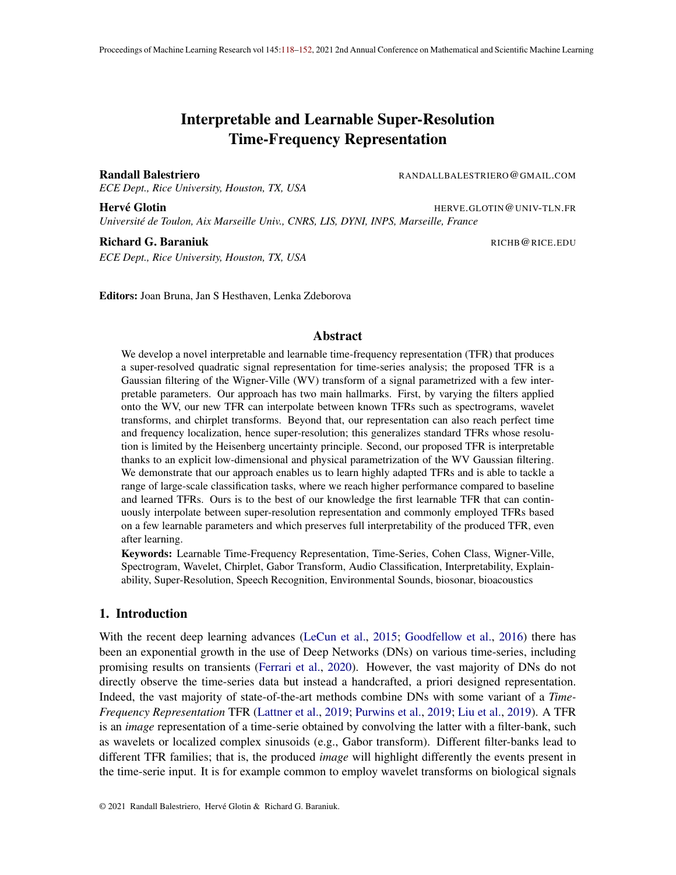# C.2. Proof of Prop. 1

First we prove the more general result which follows.

Lemma 9 For any TFR or signal adapted TFR, there exists a kernel uch that  $K_i$  (recall (4)) is equal to it.

Proof The proof is a direct application of Moyal Theorem which states that given a signand a lter y the application of the lter onto the signal and squaring the result can be expressed as the inner product between the Wigner-Ville transforms of the signal and Iter as in

> j  $\mathsf{Z}_{1}$ 1  $x(t)y(t)dt^2 =$  $\mathsf{Z}_{\mathsf{1}}$ 1  $\mathsf{Z}_{1}$ 1 WV<sub>x</sub>( ;! )WV<sub>y</sub>( ;! )d d!:

From the above we can see that any time frequency representation (time invariant or not) can be recovered simply by settin $\boldsymbol{\mathfrak{g}}$  t; f ] = WV<sub>y</sub> of some desired ltey.

Now for the special case of the Gabor based transform we can leverage the above result and proof with the following.

Proof This result is a direct application of the analytically derived kernels from Nuttall (1988); Flandrin and Rioul (1990); Jeong and Williams (1990); Baraniuk and Jones (1996); Talakoub et al. (2010) for various analytical time-frequency representations. For the Gabor transform, Morlet wavelet and Morlet based Chirplet atom, all the analytically derived kernels that are applied onto a Wigner-Ville distribution as a parametric form of the dimensional Gaussian kernel proving the result.

# C.3. Proof of Theorem 1

Proof The proof follows directly from the above result. In fact, we obtained above that the Lipschitz constant of the K-transform w.r.t. the parameter is obtained byx $k_{\mathsf{L}^2(\mathsf{R})}^2$ . Thus, the Lipschitz continuity implies continuity of the transform w.r.t. theparameters which proves the result (see for example Kreyszig (1978)).

# C.4. Proof of Lemma on Invariant

Proof

We provide the proof for each case below:

• Time translation of the signal by to havey(t) =  $x(t)$  leads to

$$
WV_y(t;!) = \begin{cases} Z_{1} & y(t + \frac{1}{2})y(t + \frac{1}{2})e^{-i\theta} d \\ Z_{1}^1 & = x(t + \frac{1}{2})x(t + \frac{1}{2})e^{-i\theta} d \\ = WV_x(t + \frac{1}{2}) \end{cases}
$$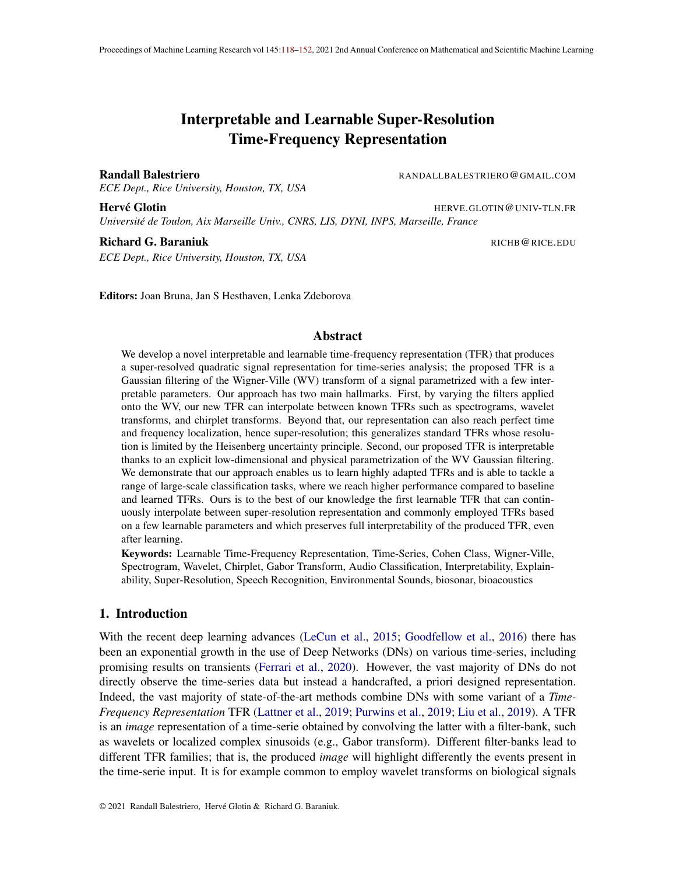Thus, the time equivariance of the representation de ned<sub>y</sub>as( $xf$ ) =  $K_{x;}$  (t ;f) is obtained iff

$$
K_{y;} (t; f) = hWV_{y}; [t; f]i = hWV_{x}; [t; f](:, + ; :)i = hWV_{x}; [t; f]i
$$
  
0 [t; f](:, + ; :) = [t; f]

as a result the above condition demonstrates that lters of different times ; f ]; 8 are just time translations of each other giving the desired result.

• Frequency modulation/shift with frequenby to havey(t) =  $x(t)e^{i t}$  ot leads

$$
WV_y(t;!) = \begin{cases} Z_{1} & y(t + \frac{1}{2})y(t + \frac{1}{2})e^{i\theta} d \\ = \frac{Z_{1}^{1}}{1} & x(t + \frac{1}{2})e^{i(\theta + \frac{1}{2})x(t + \frac{1}{2})e^{-i(\theta + \frac{1}{2})}e^{-i\theta} d \\ = \frac{Z_{1}^{1}}{1} & x(t + \frac{1}{2})e^{i(\theta + \frac{1}{2})x(t + \frac{1}{2})e^{-i(\theta + \frac{1}{2})} d} = W_x(t); \end{cases}
$$
  
= 
$$
\begin{cases} WV_x(t; t + \frac{1}{2})x(t + \frac{1}{2})e^{-i(\theta + \frac{1}{2})} d = W_x(t); \end{cases}
$$

now leveraging the same result that for the time equivariance, we obtain the desired result.

• For completeness, we also demonstrate here how the Wigner-Ville behaves under rescaling of the inputy $(t) = x(t=a)$ 

$$
WV_y(t;!) = \begin{cases} 2 \\ 1 \\ 2 \end{cases} y(t + \frac{1}{2})y(t + \frac{1}{2})e^{-t} dt
$$
  
\n
$$
= \begin{cases} 2 \\ 1 \\ x(t + \frac{1}{2}) = a \end{cases} x(t + \frac{1}{2}) = a e^{-t} d
$$
  
\n
$$
= \begin{cases} 2 \\ 1 \\ x(t = a + \frac{1}{2a}) \end{cases} x(t = a + \frac{1}{2a})e^{-t} d
$$
  
\n
$$
= a \begin{cases} 2 \\ 1 \\ x(t = a + \frac{1}{2}) \end{cases} x(t = a + \frac{1}{2})e^{-t} d
$$
  
\n
$$
= a \begin{cases} 2 \\ 1 \end{cases} x(t = a + \frac{1}{2})x(t = a + \frac{1}{2})e^{-t} d
$$
  
\n
$$
= a \begin{cases} 2 \\ 1 \end{cases} y(t = a; a)
$$

#### C.5. Proof of Lemma 5

Proof The proof consists of rst computing the analytical form of the noisy Wigner-Ville transform. Since the K-transform is a linear transformation of the Wigner-Ville transform we will obtain our result from that. Consider the noisy signal made of the true underlying signal augmented with

П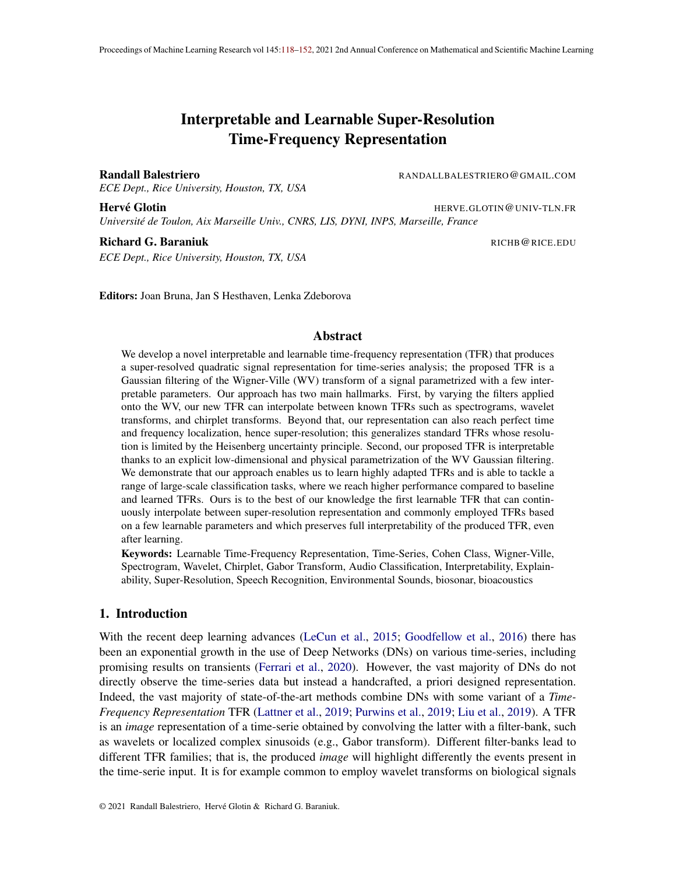additive noise as inx =  $y +$ . By using Eq. 4 from Stankovic and Stankovic (1993) we obtain that

$$
E[K_{x}(t; f)] = E \qquad WV_{x}(:, 1) + (t ; 1) d d!
$$
  
\n
$$
= \sum_{Z}^{R} [0; 2)
$$
  
\n
$$
= \sum_{R} [0; 2)
$$
  
\n
$$
= \sum_{R} [0; 2)
$$
  
\n
$$
= \sum_{R} (WV_{y}(:, 1) + S(1)) + (t ; 1) d d!
$$
  
\n
$$
= K_{y}(t; f) + \sum_{Z} S(1) + (t ; 1) d d!
$$
  
\n
$$
= K_{y}(t; f) + \sum_{Z} S(1) + (t ; 1) d d!
$$
  
\n
$$
= K_{y}(t; f) + \sum_{Z} S(1) + (t ; 1) d d!
$$
  
\n
$$
= K_{y}(t; f) + \sum_{[0; 2)} S(1) + (1) d!
$$

where the last equality comes from the fact that integrating a two-dimensional Gaussian with respect to one dimension (the time one in this case) produces a one-dimensional Gaussian with mean and variance equal to the ones of the remaining dimension. For details on this step we refer the reader to Theorem 4 inhttp://fourier.eng.hmc.edu/e161/lectures/gaussianprocess/

node7.html leading to the desired result. Be exploiting Eq. 5 from Stankovic and Stankovic  $(1993)$  it is also possible to derive the variance of the noisy K-transform using the same relipe.

# C.6. Proof of Prop 2

Proof The proof is obtained by using the fact that the maximum of 2-defimensional Gaussian with given covariance matrix will always be smaller th $\frac{1}{6e^{(n)}}$  and is always nonnegative, and then simply upper bounding the norm difference by this value times the representation. Now that we have the upper bound in term**ktiv** V<sub>x</sub>  $\;\;\;$  W V<sub>D (X )</sub> k<sub>L  $^2$ (R<sup>2</sup>) simply apply the Lipschitz constant</sub> inequality with the constant of the WVD which exists as longxais bounded which is the case as we hav $\mathbf{L}^2(\mathsf{R})$  leading to the desired result. П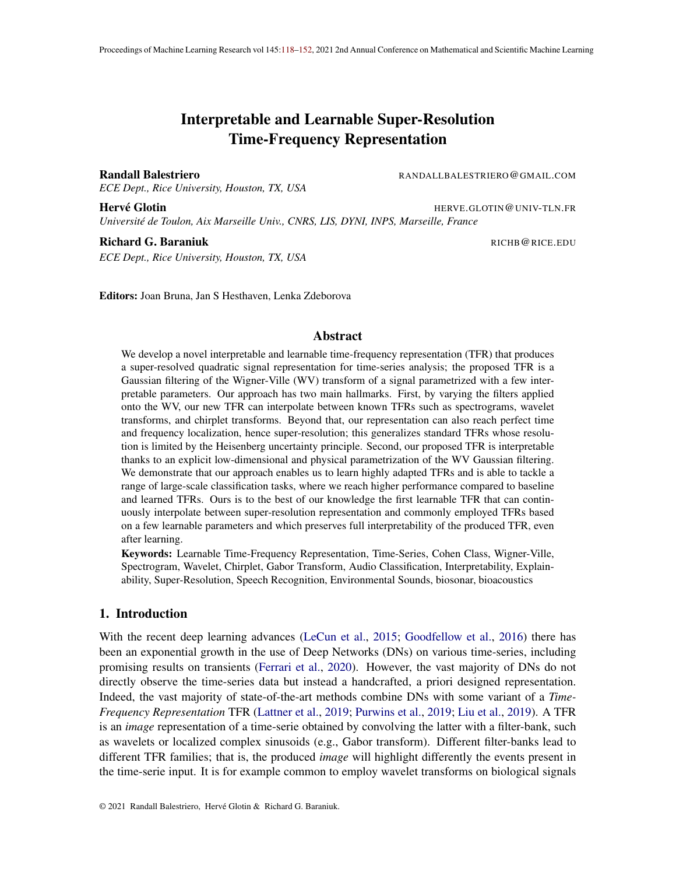## C.7. Proof of Lemma 6

Proof We will obtain the desired result by unrolling the following equations and see that it coincides with the one of the Theorem with the given kernel applied on the WV representation:  $Z_{\lambda}$ 

$$
ST_x(t; 1 + \frac{1}{2})ST_x(t; 1 - \frac{1}{2})F_g(1)e^{i2 t} dt
$$
\n
$$
= \begin{cases}\nST_x(t; 1 + \frac{1}{2})ST_x(t; 1 - \frac{1}{2}) & g(1)e^{-i2 t} dt \\
T_1 T_1 T_1 = \begin{cases}\nW_1(t) & x \end{cases} \quad W_1(t) & x \end{cases}
$$
\n
$$
= \begin{cases}\nT_1 T_1 T_1 T_1 = \begin{cases}\nW_1(t) & x \end{cases} \quad W_1(t) & x \end{cases}
$$
\n
$$
= \begin{cases}\nT_1 T_1 T_1 T_1 = \begin{cases}\nW_1(t) & x \end{cases} \quad W_1(t) & x \end{cases}
$$
\n
$$
= \begin{cases}\nT_1 T_1 T_1 T_1 = \begin{cases}\nW_1(t) & x \end{cases} \quad W_1(t) = \begin{cases}\nW_1(t) + \frac{1}{2}(2t) & x \end{cases}
$$
\n
$$
= \begin{cases}\nT_1 T_1 T_1 = \begin{cases}\nW_1(t) & x \end{cases} \quad W_1(t) = \begin{cases}\nW_1(t) + \frac{1}{2}(2t) & x \end{cases}
$$
\n
$$
= \begin{cases}\nT_1 T_1 T_1 = \begin{cases}\nW_1(t) + \frac{1}{2}(2t) & x \end{cases}
$$
\n
$$
= \begin{cases}\nT_1 T_1 = \begin{cases}\nW_1(t) + \frac{1}{2}(2t) & x \end{cases} \quad W_1(t) = 2\begin{cases}\nW_1(t) + \frac{1}{2}(2t) & x \end{cases}
$$
\n
$$
= \begin{cases}\nT_1(T_1(t)) + \frac{1}{2}(2t) & x \end{cases}
$$
\n
$$
= \begin{cases}\nT_1(T_1(t)) + \frac{1}{2}(2t) & x \end{cases}
$$
\n
$$
= \begin{cases}\nT_1(T_1(t)) + \frac{1}{2}(2t) & x \end{cases}
$$
\n
$$
= \begin{cases}\nT_1(T_1(t)) + \frac{1}{2}(2t) & x \end{cases}
$$
\n
$$
= \begin{cases}\nT_1(T
$$

#### C.8. Proof of Thm. 2

Proof From the above (lemma) result, it then follows directly that performing convolutions with two gaussians can be rewritten as a single Gaussian convolution with the given parameters based on both Gaussians.

 $\blacksquare$ 

#### Appendix D. Interferences

Finally, we now consider the study of interference that can arise in the K-transform whenever multiple events occur in the signal Sen (2014). In fact, the Gabor limit also known as the Heisenberg Uncertainty principle Heisenberg (1927), corresponds to the optimal limit one can achieve in time and frequency resolution without introducing interference in the representation. In our case, no constraints are imposed on fot; f ], and while learning will allow to reach any desired kernel for the task at hand, we propose some conditions that would prevent the presence of interference. In fact, there is a general necessary condition ensuring that the representation does not contain any interference.

Proposition 3 A suf cient condition to ensure absence of interference in the K-transform is to have a nonnegative representation as  $ig K(t; f) = 0; 8t; f$ .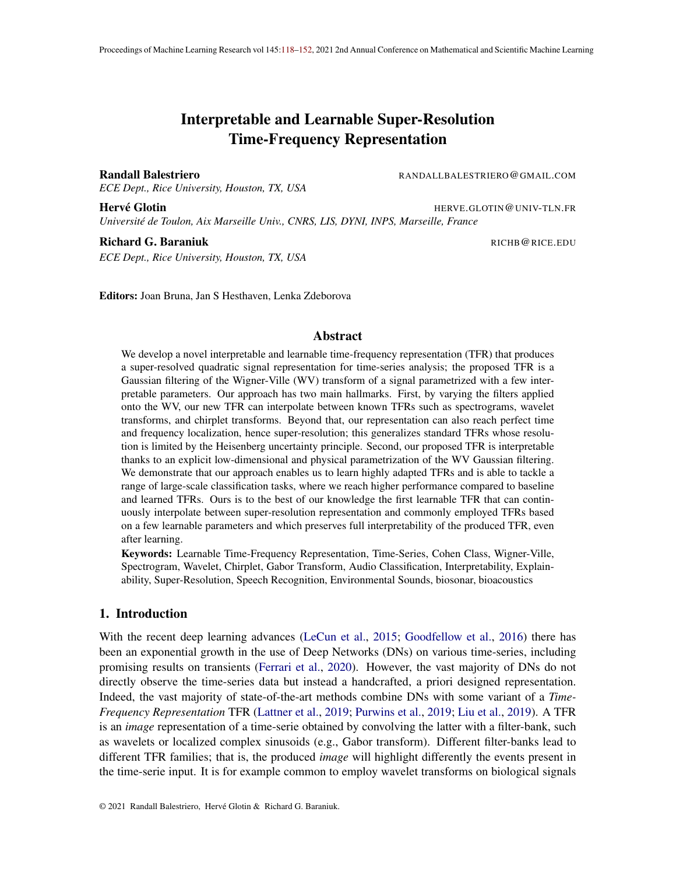**Proof** We only consider signals that can be expressed as a linear combination of oscillatory atoms (natural signals) Mallat (1989). Due to the form of the Wigner-Ville distribution (with the quadratic term) the interference are oscillatory terms and thus can not be positive only. In short, there can not be a positive coefficient appearing due to an interference without its negative counterpart. As a result, a nonnegative representation can not have any interference. See (Cohen (1995)) for more details and background on Wigner-Ville distribution and interference.  $\blacksquare$ 

Lastly, thanks to the Gaussian form, we can directly obtain the shape and in particular area of the logon (the inverse of the joint time and frequency resolution) as follows.

Proposition 4 *A sufficient condition to ensure absence of interference in the K-transform is to have the effective area of the 2D Gaussian greater that*  $\frac{1}{4}$ *, that is,*  $\frac{\theta}{1}$   $\frac{\theta}{5}$   $\frac{1}{4}$  $\frac{1}{4}$ *; 8t; f with* 

$$
\frac{\ell}{T} = \tau \cos^2(\ ) + 2 \ \cos(\ ) \sin(\ ) + \ \tau \sin^2(\ )
$$
 (8)

$$
\frac{\rho}{F} = \tau \sin^2(\ ) \quad 2 \cos(\ ) \sin(\ ) + \ \tau \cos^2(\ ) \tag{9}
$$

$$
=\frac{\arctan\left(\frac{2}{\tau - F}\right)}{2} \tag{10}
$$

**Proof** The proof applies the Uncertainty principle which provides the minimal area of the Logon to ensure absence of interference (Gabor (1946)), this is then combined with the above result on the area of the Logon in the case of our 2-dimension Gaussian to obtain the desired result. So first, the condition is that  $T = \frac{1}{4}$  $\frac{1}{4}$ , however in our case we also have the possible chirpness parameter. But we can obtain the new rotated covariance matrix s.t. the chirpness is removed by rotating the time-frequency place instead. This can be done easily (see for example  $http://www.$  $http://www.$ //scipp.ucsc.edu/~haber/ph116A/diag2x2\_11.pdf) to obtain the new parameter as

$$
\tau = \tau \cos^{2}(\ ) + 2 \cos(\ ) \sin(\ ) + \ \tau \sin^{2}(\ )
$$
\n
$$
\tau = \tau \sin^{2}(\ ) \quad 2 \cos(\ ) \sin(\ ) + \ \tau \cos^{2}(\ )
$$
\n
$$
= \frac{\arctan(\frac{2}{\tau - \tau})}{2}
$$

now the constraint can be expressed as

$$
-\tau \cos^2( ) + 2 \cos( ) \sin( ) + \tau \sin^2( )
$$
  $-\tau \sin^2( )$   $2 \cos( ) \sin( ) + \tau \cos^2( )$   $\frac{1}{4}$ 

#### Appendix E. Gaussian Truncation

Notice however that the STFT has to be done by padding the signal windows to allow interpolation, this is common when dealing with such transformations. Given some parameters, we convert them into discrete bins to get actual window sizes as follows

$$
N( ) = g1( ) 2Fs
$$

with  $g^{-1}$  the inverse of the gaussian density distribution with 0 mean and standard deviation, taken only on the negative part of its support. As such,  $N$  is a function that maps a given tolerance and standard deviation to the window length in bins s.t. the apodization window at the boundaries of this window are of no more than .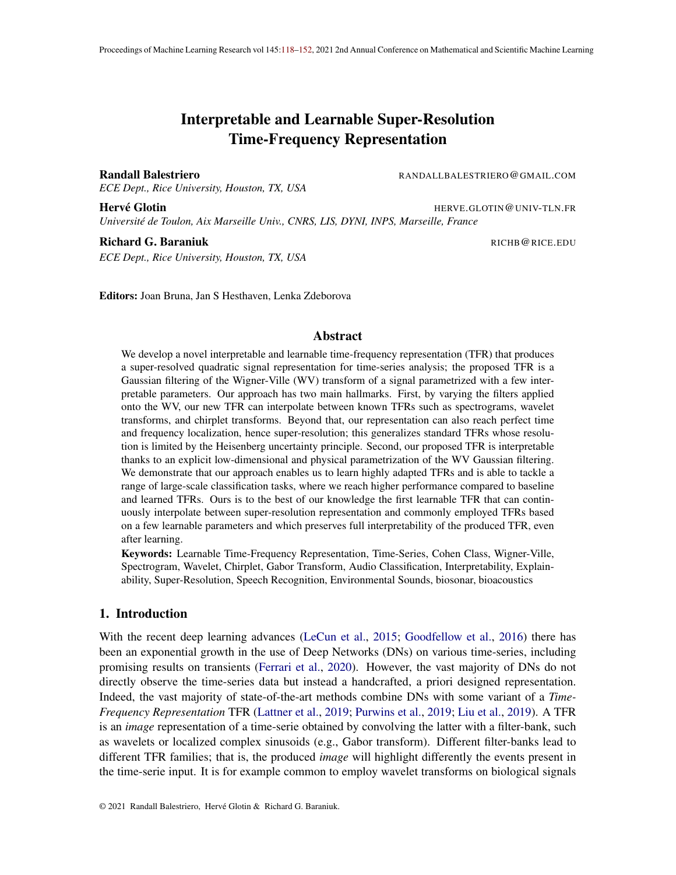Table 3: Various hand picked K-transform parameters leading to known time invariant TFRs with their respective parameters. For the adaptive versions, such as the wavelet tree with various Gabor mother wavelet parameters  $_0$ , then at each time t, the corresponding parameter is any of the optimal one based on the desired criterion.

|                         | $_{time}(t; f)$ | $\frac{1}{\text{freq}}(t;f)$ | time(t; f)                                   | $_{freq}(t;f)$                 | $(t, f)$ (chirpness) |  |
|-------------------------|-----------------|------------------------------|----------------------------------------------|--------------------------------|----------------------|--|
| Spectrogram             |                 |                              |                                              |                                |                      |  |
| Melscale Spectrogram    |                 | $2S(1 - f = )$               |                                              | $2S(f=1)$                      |                      |  |
| Scalogram               |                 |                              | $ 2S(1 f=)  2S(1 f=)  2S(f= 1) $             |                                |                      |  |
| <b>Scattering Layer</b> |                 |                              | $2^{S(1-f=)} S^{S(1-f=)} _{\Omega}2^{S(f=)}$ |                                |                      |  |
| Chirpogram              |                 |                              |                                              | $ 2S(1 f=) 2S(1 f=) 2S(f=1) 1$ | $(t; f) \notin 0$    |  |

#### Appendix F. Example of K-transform parameterization

We propose in Table 3 different configurations of the parameter corresponding to some standard and known TFRs.

#### Appendix G. Computational Complexity

The computational complexity of the method varies with the covariance matrix of the kernels, it will range from quadratic when the kernels tend toward a Delta function (as the representation computation bottleneck becomes the computation of the exact WV) to linear for large covariance matrices. In such case, the computation is done with spectrograms of small windows (and with almost no spectral frequency correlation) for the smoothed pseudo WV. In addition to those cases, the use of translation (in time and/or frequency) also greatly reduce computational costs as it allows for the use of convolutions into the K-transform computation. This allows to put all the computation bottleneck into the computation of the smoothed pseudo WV.

#### Appendix H. Data sets description

Audio-MNIST. This dataset consists of multiple (60) speakers of various characteristics enunciation digits from 0 to 9 inclusive Becker et al. (2018). The classification task consists of classifying the spoken digit, 30; 000 recordings are given in the dataset. Each recording is from a controlled environment without external noise except breathing and standard recording device artifacts. BirdVox-70k. This dataset consists of avian recording obtained during the fall migration season of 2015. The recording were obtained in North American and is made of a balanced binary classification of predicting the presence or not of a bird in a given audio clip Lostanlen et al. (2018). In total 70; 000 clips are contaiend in the dataset. The outside recordings present various types of non stationnary noises and sources. Google Speech Commands. This dataset consists of 65;000 one-second long utterances of 30 short words such as "yes", "no", "right" or "left" Warden (2017). The recordings are obtained from thousands of different people who contributed through the AIY website  $<sup>1</sup>$ . The task is thus to classify the spoken command. FreeSound DCASE. This task ad-</sup> dresses the problem of general-purpose automatic audio tagging Fonseca et al. (2018). The dataset

<sup>1.</sup> [https://aiyprojects.withgoogle.com/open\\_speech\\_recording](https://aiyprojects.withgoogle.com/open_speech_recording)